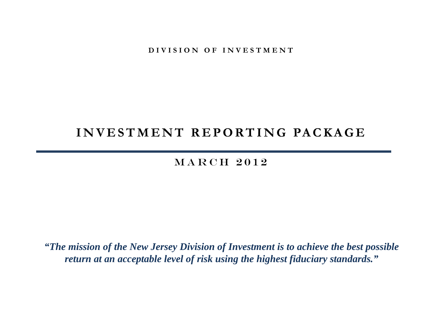**DIVISION OF INVESTMENT** 

## **INVESTMENT REPORTING PACKAGE**

## MARCH 2012

*"The mission of the New Jersey Division of Investment is to achieve the best possible return at an acceptable level of risk using the highest fiduciary standards."*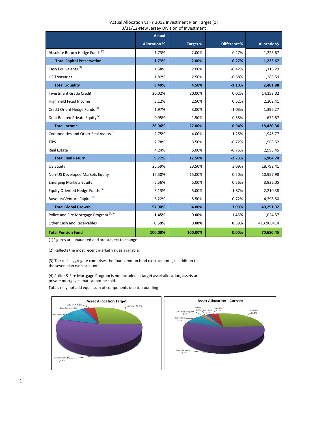|                                                    |                     | <b>JIJIIL INCW JUISCY DIVISION OF INVESTING I</b> |             |              |
|----------------------------------------------------|---------------------|---------------------------------------------------|-------------|--------------|
|                                                    | <b>Actual</b>       |                                                   |             |              |
|                                                    | <b>Allocation %</b> | Target %                                          | Difference% | Allocation\$ |
| Absolute Return Hedge Funds <sup>(3)</sup>         | 1.73%               | 2.00%                                             | $-0.27%$    | 1,223.67     |
| <b>Total Capital Preservation</b>                  | 1.73%               | 2.00%                                             | $-0.27%$    | 1,223.67     |
| Cash Equivalents <sup>(4)</sup>                    | 1.58%               | 2.00%                                             | $-0.42%$    | 1,116.29     |
| <b>US Treasuries</b>                               | 1.82%               | 2.50%                                             | $-0.68%$    | 1,285.59     |
| <b>Total Liquidity</b>                             | 3.40%               | 4.50%                                             | $-1.10%$    | 2,401.88     |
| <b>Investment Grade Credit</b>                     | 20.02%              | 20.00%                                            | 0.02%       | 14,153.02    |
| High Yield Fixed Income                            | 3.12%               | 2.50%                                             | 0.62%       | 2,202.41     |
| Credit Orient Hedge Funds <sup>(3)</sup>           | 1.97%               | 3.00%                                             | $-1.03%$    | 1,392.27     |
| Debt Related Private Equity <sup>(2)</sup>         | 0.95%               | 1.50%                                             | $-0.55%$    | 672.67       |
| <b>Total Income</b>                                | 26.06%              | 27.00%                                            | $-0.94%$    | 18,420.36    |
| Commodities and Other Real Assets <sup>(2)</sup>   | 2.75%               | 4.00%                                             | $-1.25%$    | 1,945.77     |
| <b>TIPS</b>                                        | 2.78%               | 3.50%                                             | $-0.72%$    | 1,963.52     |
| <b>Real Estate</b>                                 | 4.24%               | 5.00%                                             | $-0.76%$    | 2,995.45     |
| <b>Total Real Return</b>                           | 9.77%               | 12.50%                                            | $-2.73%$    | 6,904.74     |
| <b>US Equity</b>                                   | 26.59%              | 23.50%                                            | 3.09%       | 18,792.41    |
| Non-US Developed Markets Equity                    | 15.50%              | 15.00%                                            | 0.50%       | 10,957.98    |
| <b>Emerging Markets Equity</b>                     | 5.56%               | 5.00%                                             | 0.56%       | 3,932.05     |
| Equity Oriented Hedge Funds <sup>(3)</sup>         | 3.13%               | 5.00%                                             | $-1.87%$    | 2,210.38     |
| Buyouts/Venture Capital <sup>(2)</sup>             | 6.22%               | 5.50%                                             | 0.72%       | 4,398.50     |
| <b>Total Global Growth</b>                         | 57.00%              | 54.00%                                            | 3.00%       | 40,291.32    |
| Police and Fire Mortgage Program <sup>(2, 5)</sup> | 1.45%               | 0.00%                                             | 1.45%       | 1,024.57     |
| Other Cash and Receivables                         | 0.59%               | 0.00%                                             | 0.59%       | 413.900414   |
| <b>Total Pension Fund</b>                          | 100.00%             | 100.00%                                           | 0.00%       | 70,680.45    |

#### Actual Allocation vs FY 2012 Investment Plan Target (1) 3/31/12-New Jersey Division of Investment

(1)Figures are unaudited and are subject to change.

(2) Reflects the most recent market values available.

(3) The cash aggregate comprises the four common fund cash accounts, in addition to the seven plan cash accounts.

(4) Police & Fire Mortgage Program is not included in target asset allocation, assets are private mortgages that cannot be sold.

Totals may not add equal sum of components due to rounding

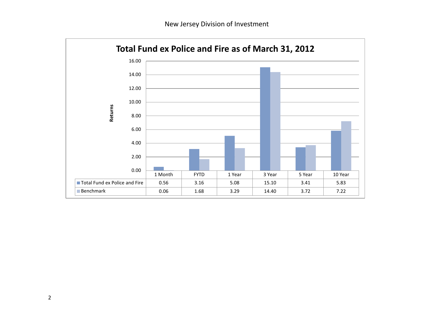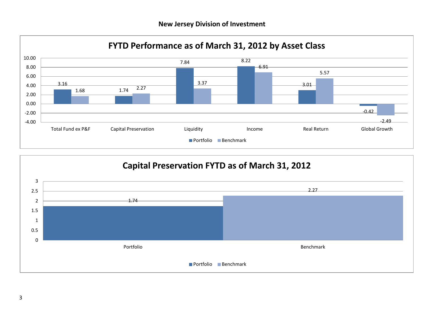

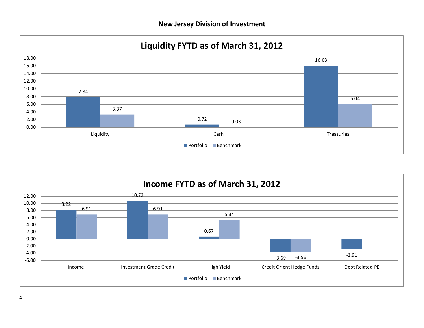

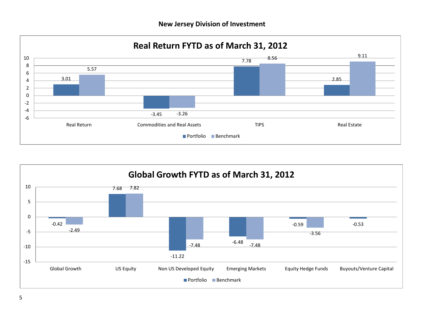



5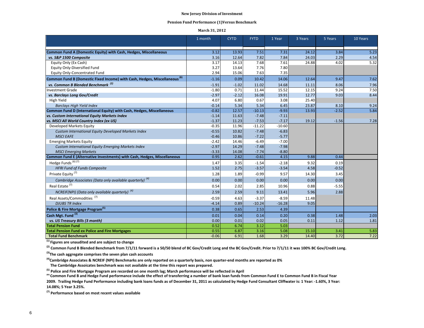#### **Pension Fund Performance (1)Versus Benchmark**

#### **March 31, 2012**

|                                                                                       | 1 month | <b>CYTD</b> | <b>FYTD</b> | 1 Year   | 3 Years | 5 Years | 10 Years |
|---------------------------------------------------------------------------------------|---------|-------------|-------------|----------|---------|---------|----------|
|                                                                                       |         |             |             |          |         |         |          |
| Common Fund A (Domestic Equity) with Cash, Hedges, Miscellaneous                      | 3.12    | 13.93       | 7.51        | 7.31     | 24.12   | 3.84    | 5.23     |
| vs. S&P 1500 Composite                                                                | 3.16    | 12.64       | 7.82        | 7.84     | 24.03   | 2.29    | 4.54     |
| Equity Only (Ex Cash)                                                                 | 3.17    | 14.13       | 7.68        | 7.61     | 24.88   | 4.02    | 5.32     |
| Equity Only-Diversified Fund                                                          | 3.27    | 13.64       | 7.76        | 7.80     |         |         |          |
| Equity Only-Concentrated Fund                                                         | 2.94    | 15.06       | 7.63        | 7.35     |         |         |          |
| Common Fund B (Domestic Fixed Income) with Cash, Hedges, Miscellaneous <sup>(6)</sup> | $-1.16$ | 0.09        | 10.42       | 14.06    | 12.64   | 9.47    | 7.62     |
| vs. Common B Blended Benchmark <sup>(2)</sup>                                         | $-1.91$ | $-1.02$     | 11.02       | 14.68    | 11.11   | 8.06    | 7.96     |
| <b>Investment Grade</b>                                                               | $-1.80$ | 0.71        | 11.44       | 15.52    | 12.15   | 9.24    | 7.50     |
| vs. Barclays Long Gov/Credit                                                          | $-2.97$ | $-2.12$     | 16.08       | 19.91    | 12.77   | 9.03    | 8.44     |
| High Yield                                                                            | 4.07    | 6.80        | 0.67        | 3.08     | 25.40   |         |          |
| <b>Barclays High Yield Index</b>                                                      | $-0.14$ | 5.34        | 5.34        | 6.45     | 23.87   | 8.10    | 9.24     |
| Common Fund D (International Equity) with Cash, Hedges, Miscellaneous                 | $-0.82$ | 12.57       | $-10.13$    | $-9.93$  | 13.93   | $-2.52$ | 5.84     |
| vs. Custom International Equity Markets Index                                         | $-1.14$ | 11.63       | $-7.48$     | $-7.11$  |         |         |          |
| vs. MSCI All World Country Index (ex US)                                              | $-1.37$ | 11.23       | $-7.53$     | $-7.17$  | 19.12   | $-1.56$ | 7.28     |
| Developed Markets Equity                                                              | $-0.35$ | 11.96       | $-11.22$    | $-10.60$ |         |         |          |
| Custom International Equity Developed Markets Index                                   | $-0.55$ | 10.82       | $-7.48$     | $-6.83$  |         |         |          |
| <b>MSCI EAFE</b>                                                                      | $-0.46$ | 10.86       | $-7.22$     | $-5.77$  |         |         |          |
| <b>Emerging Markets Equity</b>                                                        | $-2.42$ | 14.46       | $-6.49$     | $-7.00$  |         |         |          |
| Custom International Equity Emerging Markets Index                                    | $-2.97$ | 14.29       | $-7.48$     | $-7.98$  |         |         |          |
| <b>MSCI Emerging Markets</b>                                                          | $-3.33$ | 14.08       | $-7.74$     | $-8.80$  |         |         |          |
| Common Fund E (Alternative Investments) with Cash, Hedges, Miscellaneous              | 0.95    | 2.62        | $-0.61$     | 4.15     | 9.88    | 0.44    |          |
| Hedge Funds <sup>(6)</sup> <sup>(7)</sup>                                             | 1.47    | 3.35        | $-1.54$     | $-2.18$  | 9.32    | 0.19    |          |
| <b>HFRI Fund of Funds Composite</b>                                                   | 1.52    | 2.75        | $-3.57$     | $-3.54$  | 4.58    | $-0.52$ |          |
| Private Equity <sup>(7)</sup>                                                         | 1.28    | 1.89        | $-0.99$     | 9.57     | 14.30   | 3.45    |          |
| Cambridge Associates (Data only available quarterly) <sup>(4)</sup>                   | 0.00    | 0.00        | 0.00        | 0.00     | 0.00    | 0.00    |          |
| Real Estate <sup>(7)</sup>                                                            | 0.54    | 2.02        | 2.85        | 10.96    | 0.88    | $-5.55$ |          |
| NCREIF(NPI) (Data only available quarterly) <sup>(4)</sup>                            | 2.59    | 2.59        | 9.11        | 13.41    | 5.96    | 2.88    |          |
| Real Assets/Commodities <sup>(7)</sup>                                                | $-0.59$ | 4.63        | $-3.37$     | $-8.59$  | 11.48   |         |          |
| <b>DJUBS TR Index</b>                                                                 | $-4.14$ | 0.89        | $-10.24$    | $-16.28$ | 9.05    |         |          |
| Police & Fire Mortgage Program <sup>(5)</sup>                                         | 0.38    | 0.65        | 2.53        | 4.39     |         |         |          |
| Cash Mgt. Fund <sup>(3)</sup>                                                         | 0.01    | 0.04        | 0.14        | 0.20     | 0.38    | 1.48    | 2.03     |
| vs. US Treasury Bills (3 month)                                                       | 0.00    | 0.01        | 0.02        | 0.05     | 0.11    | 1.12    | 1.81     |
| <b>Total Pension Fund</b>                                                             | 0.52    | 6.74        | 3.12        | 5.03     |         |         |          |
| <b>Total Pension Fund ex Police and Fire Mortgages</b>                                | 0.55    | 6.87        | 3.16        | 5.08     | 15.10   | 3.41    | 5.83     |
| <b>Total Fund Benchmark</b>                                                           | $-0.06$ | 6.91        | 1.68        | 3.29     | 14.40   | 3.72    | 7.22     |

**(1) Figures are unaudited and are subject to change**

<sup>(2)</sup> Common Fund B Blended Benchmark from 7/1/11 forward is a 50/50 blend of BC Gov/Credit Long and the BC Gov/Credit. Prior to 7/1/11 it was 100% BC Gov/Credit Long.

**(3)The cash aggregate comprises the seven plan cash accounts**

**(4)Cambridge Associates & NCREIF (NPI) Benchmarks are only reported on a quarterly basis, non quarter-end months are reported as 0%** The Cambridge Assoicates benchmark was not available at the time this report was prepared.<br><sup>(5)</sup> Police and Fire Mortgage Program are recorded on one month lag; March performance will be reflected in April

<sup>(b)</sup> Common Fund B and Hedge Fund performance include the effect of transferring a number of bank loan funds from Common Fund E to Common Fund B in Fiscal Year **2009. Trailing Hedge Fund Performance including bank loans funds as of December 31, 2011 as calculated by Hedge Fund Consultant Cliffwater is: 1 Year: -1.60%, 3 Year: 14.08%; 5 Year 3.25%.**

**(7) Performance based on most recent values available**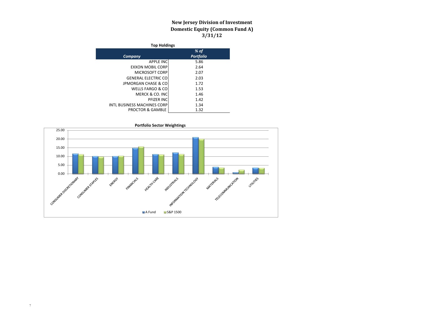### **New Jersey Division of Investment Domestic Equity (Common Fund A) 3/31/12**

| <b>Top Holdings</b>                |                  |  |  |  |  |
|------------------------------------|------------------|--|--|--|--|
|                                    | % of             |  |  |  |  |
| Company                            | <b>Portfolio</b> |  |  |  |  |
| <b>APPLE INC</b>                   | 5.86             |  |  |  |  |
| <b>EXXON MOBIL CORP</b>            | 2.64             |  |  |  |  |
| <b>MICROSOFT CORP</b>              | 2.07             |  |  |  |  |
| <b>GENERAL ELECTRIC CO</b>         | 2.03             |  |  |  |  |
| <b>JPMORGAN CHASE &amp; CO</b>     | 1.72             |  |  |  |  |
| WELLS FARGO & CO                   | 1.53             |  |  |  |  |
| MERCK & CO. INC                    | 1.46             |  |  |  |  |
| PFIZER INC                         | 1.42             |  |  |  |  |
| <b>INTL BUSINESS MACHINES CORP</b> | 1.34             |  |  |  |  |
| <b>PROCTOR &amp; GAMBLE</b>        | 1.32             |  |  |  |  |

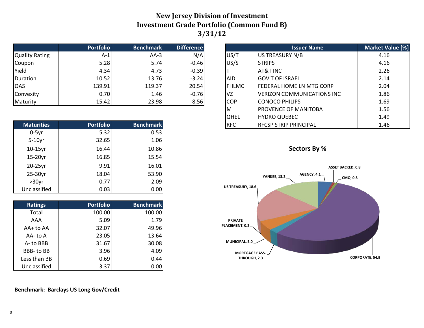### **New Jersey Division of Investment Investment Grade Portfolio (Common Fund B) 3/31/12**

|                       | <b>Portfolio</b> | <b>Benchmark</b> | <b>Difference</b> |            |              | <b>Issuer Name</b>                | <b>Market Va</b> |
|-----------------------|------------------|------------------|-------------------|------------|--------------|-----------------------------------|------------------|
| <b>Quality Rating</b> | A-1              | $AA-3$           | N/A               | US/T       |              | US TREASURY N/B                   | 4.16             |
| Coupon                | 5.28             | 5.74             | $-0.46$           | US/S       |              | <b>STRIPS</b>                     | 4.16             |
| Yield                 | 4.34             | 4.73             | $-0.39$           |            |              | AT&T INC                          | 2.26             |
| Duration              | 10.52            | 13.76            | $-3.24$           | AID        |              | <b>IGOV'T OF ISRAEL</b>           | 2.14             |
| <b>OAS</b>            | 139.91           | 119.37           | 20.54             |            | <b>FHLMC</b> | lFEDERAL HOME LN MTG CORP         | 2.04             |
| Convexity             | 0.70             | 1.46             | $-0.76$           | ΙVΖ        |              | <b>VERIZON COMMUNICATIONS INC</b> | 1.86             |
| Maturity              | 15.42            | 23.98            | $-8.56$           | <b>COP</b> |              | <b>CONOCO PHILIPS</b>             | 1.69             |

| <b>Maturities</b> | <b>Portfolio</b> | <b>Benchmark</b> |
|-------------------|------------------|------------------|
| $0-5yr$           | 5.32             | 0.53             |
| $5-10$ yr         | 32.65            | 1.06             |
| $10-15$ yr        | 16.44            | 10.86            |
| 15-20yr           | 16.85            | 15.54            |
| 20-25yr           | 9.91             | 16.01            |
| 25-30yr           | 18.04            | 53.90            |
| $>30$ yr          | 0.77             | 2.09             |
| Unclassified      | 0.03             | 0.00             |

| <b>Ratings</b> | <b>Portfolio</b> | <b>Benchmark</b> |
|----------------|------------------|------------------|
| Total          | 100.00           | 100.00           |
| AAA            | 5.09             | 1.79             |
| AA+ to AA      | 32.07            | 49.96            |
| AA- to A       | 23.05            | 13.64            |
| A-to BBB       | 31.67            | 30.08            |
| BBB-to BB      | 3.96             | 4.09             |
| Less than BB   | 0.69             | 0.44             |
| Unclassified   | 3.37             | 0.00             |

### **Position Benchmark Difference Issuer Name Difference I**ssuer Name  $US/T$  US TREASURY N/B 2.16 AID GOV'T OF ISRAEL 2.14 |FHLMC ||FEDERAL HOME LN MTG CORP || 2.04  $VZ$  VERIZON COMMUNICATIONS INC  $\begin{bmatrix} 1 & 0 & 0 \\ 0 & 0 & 1 & 0 \\ 0 & 0 & 0 & 0 \\ 0 & 0 & 0 & 0 \\ 0 & 0 & 0 & 0 \\ 0 & 0 & 0 & 0 \\ 0 & 0 & 0 & 0 \\ 0 & 0 & 0 & 0 \\ 0 & 0 & 0 & 0 \\ 0 & 0 & 0 & 0 \\ 0 & 0 & 0 & 0 \\ 0 & 0 & 0 & 0 \\ 0 & 0 & 0 & 0 \\ 0 & 0 & 0 & 0 \\ 0 & 0 & 0 & 0 \\ 0 & 0$ COP CONOCO PHILIPS 2.69 M PROVENCE OF MANITOBA | 1.56 QHEL HYDRO QUEBEC 1.49



**REC** RECSP STRIP PRINCIPAL **1.46** 



### **Benchmark: Barclays US Long Gov/Credit**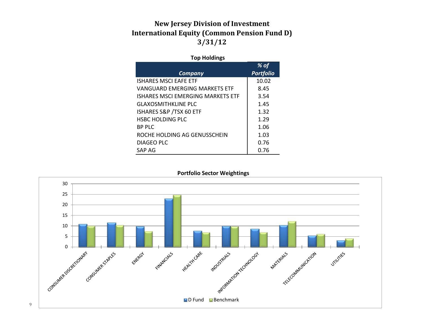### **New Jersey Division of Investment International Equity (Common Pension Fund D) 3/31/12**

### **Top Holdings**

|                                  | % of             |
|----------------------------------|------------------|
| <b>Company</b>                   | <b>Portfolio</b> |
| ISHARFS MSCI FAFF FTF            | 10.02            |
| VANGUARD FMFRGING MARKFTS FTF    | 8.45             |
| ISHARFS MSCLFMFRGING MARKETS FTF | 3.54             |
| GLAXOSMITHKLINE PLC              | 1.45             |
| ISHARES S&P / TSX 60 ETF         | 1.32             |
| <b>HSBC HOLDING PLC</b>          | 1.29             |
| <b>BP PLC</b>                    | 1.06             |
| ROCHE HOLDING AG GENUSSCHEIN     | 1.03             |
| DIAGEO PLC                       | 0.76             |
| SAP AG                           | 0.76             |

30 25 20 15 10 LID Fund Benchmark 5 **PARTICALES OF MAIL AND REAL PROPERTY** Consultation of April Consultation of the County ENTERED Financial City **HEALTH CARE STILLITES** 

### **Portfolio Sector Weightings**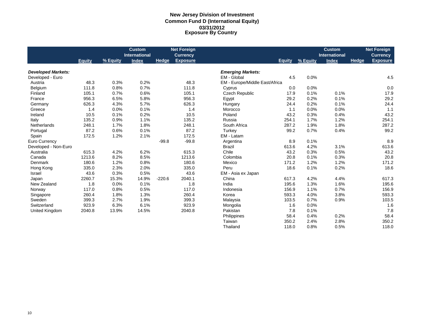### **New Jersey Division of Investment Common Fund D (International Equity) 03/31/2012 Exposure By Country**

|                           |               |          | <b>Custom</b>        |              | <b>Net Foreign</b> |                                |               |          | <b>Custom</b>        |       | <b>Net Foreign</b> |
|---------------------------|---------------|----------|----------------------|--------------|--------------------|--------------------------------|---------------|----------|----------------------|-------|--------------------|
|                           |               |          | <b>International</b> |              | <b>Currency</b>    |                                |               |          | <b>International</b> |       | <b>Currency</b>    |
|                           | <b>Equity</b> | % Equity | <b>Index</b>         | <b>Hedge</b> | <b>Exposure</b>    |                                | <b>Equity</b> | % Equity | <b>Index</b>         | Hedge | <b>Exposure</b>    |
| <b>Developed Markets:</b> |               |          |                      |              |                    | <b>Emerging Markets:</b>       |               |          |                      |       |                    |
| Developed - Euro          |               |          |                      |              |                    | EM - Global                    | 4.5           | 0.0%     |                      |       | 4.5                |
| Austria                   | 48.3          | 0.3%     | 0.2%                 |              | 48.3               | EM - Europe/Middle East/Africa |               |          |                      |       |                    |
| Belgium                   | 111.8         | 0.8%     | 0.7%                 |              | 111.8              | Cyprus                         | 0.0           | 0.0%     |                      |       | 0.0                |
| Finland                   | 105.1         | 0.7%     | 0.6%                 |              | 105.1              | <b>Czech Republic</b>          | 17.9          | 0.1%     | 0.1%                 |       | 17.9               |
| France                    | 956.3         | 6.5%     | 5.8%                 |              | 956.3              | Egypt                          | 29.2          | 0.2%     | 0.1%                 |       | 29.2               |
| Germany                   | 626.3         | 4.3%     | 5.7%                 |              | 626.3              | Hungary                        | 24.4          | 0.2%     | 0.1%                 |       | 24.4               |
| Greece                    | 1.4           | 0.0%     | 0.1%                 |              | 1.4                | Morocco                        | 1.1           | 0.0%     | 0.0%                 |       | 1.1                |
| Ireland                   | 10.5          | 0.1%     | 0.2%                 |              | 10.5               | Poland                         | 43.2          | 0.3%     | 0.4%                 |       | 43.2               |
| Italy                     | 135.2         | 0.9%     | 1.1%                 |              | 135.2              | Russia                         | 254.1         | 1.7%     | 1.2%                 |       | 254.1              |
| <b>Netherlands</b>        | 248.1         | 1.7%     | 1.8%                 |              | 248.1              | South Africa                   | 287.2         | 1.9%     | 1.8%                 |       | 287.2              |
| Portugal                  | 87.2          | 0.6%     | 0.1%                 |              | 87.2               | Turkey                         | 99.2          | 0.7%     | 0.4%                 |       | 99.2               |
| Spain                     | 172.5         | 1.2%     | 2.1%                 |              | 172.5              | EM - Latam                     |               |          |                      |       |                    |
| Euro Currency             |               |          |                      | $-99.8$      | $-99.8$            | Argentina                      | 8.9           | 0.1%     |                      |       | 8.9                |
| Developed - Non-Euro      |               |          |                      |              |                    | <b>Brazil</b>                  | 613.6         | 4.2%     | 3.1%                 |       | 613.6              |
| Australia                 | 615.3         | 4.2%     | 6.2%                 |              | 615.3              | Chile                          | 43.2          | 0.3%     | 0.5%                 |       | 43.2               |
| Canada                    | 1213.6        | 8.2%     | 8.5%                 |              | 1213.6             | Colombia                       | 20.8          | 0.1%     | 0.3%                 |       | 20.8               |
| Denmark                   | 180.6         | 1.2%     | 0.8%                 |              | 180.6              | Mexico                         | 171.2         | 1.2%     | 1.2%                 |       | 171.2              |
| Hong Kong                 | 335.0         | 2.3%     | 2.0%                 |              | 335.0              | Peru                           | 18.6          | 0.1%     | 0.2%                 |       | 18.6               |
| <b>Israel</b>             | 43.6          | 0.3%     | 0.5%                 |              | 43.6               | EM - Asia ex Japan             |               |          |                      |       |                    |
| Japan                     | 2260.7        | 15.3%    | 14.9%                | $-220.6$     | 2040.1             | China                          | 617.3         | 4.2%     | 4.4%                 |       | 617.3              |
| New Zealand               | 1.8           | 0.0%     | 0.1%                 |              | 1.8                | India                          | 195.6         | 1.3%     | 1.6%                 |       | 195.6              |
| Norway                    | 117.0         | 0.8%     | 0.5%                 |              | 117.0              | Indonesia                      | 156.9         | 1.1%     | 0.7%                 |       | 156.9              |
| Singapore                 | 260.4         | 1.8%     | 1.3%                 |              | 260.4              | Korea                          | 593.3         | 4.0%     | 3.8%                 |       | 593.3              |
| Sweden                    | 399.3         | 2.7%     | 1.9%                 |              | 399.3              | Malaysia                       | 103.5         | 0.7%     | 0.9%                 |       | 103.5              |
| Switzerland               | 923.9         | 6.3%     | 6.1%                 |              | 923.9              | Mongolia                       | 1.6           | 0.0%     |                      |       | 1.6                |
| United Kingdom            | 2040.8        | 13.9%    | 14.5%                |              | 2040.8             | Pakistan                       | 7.8           | 0.1%     |                      |       | 7.8                |
|                           |               |          |                      |              |                    | Philippines                    | 58.4          | 0.4%     | 0.2%                 |       | 58.4               |
|                           |               |          |                      |              |                    | Taiwan                         | 350.2         | 2.4%     | 2.8%                 |       | 350.2              |
|                           |               |          |                      |              |                    | Thailand                       | 118.0         | 0.8%     | 0.5%                 |       | 118.0              |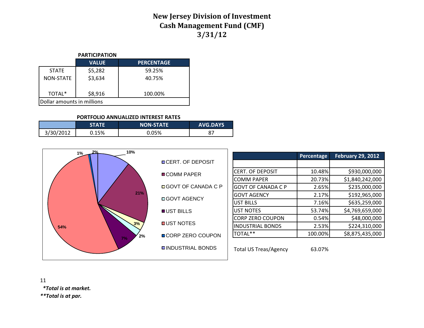### **New Jersey Division of Investment Cash Management Fund (CMF) 3/31/12**

### **PARTICIPATION**

|                            | <b>VALUE</b> | <b>PERCENTAGE</b> |  |  |  |
|----------------------------|--------------|-------------------|--|--|--|
| <b>STATE</b>               | \$5,282      | 59.25%            |  |  |  |
| <b>NON-STATE</b>           | \$3,634      | 40.75%            |  |  |  |
|                            |              |                   |  |  |  |
| TOTAL <sup>*</sup>         | \$8,916      | 100.00%           |  |  |  |
| Dollar amounts in millions |              |                   |  |  |  |

#### **PORTFOLIO ANNUALIZED INTEREST RATES**

|           | STATE | <b>NON-STATE</b> | <b>AVG.DAYS</b> |
|-----------|-------|------------------|-----------------|
| 3/30/2012 | 0.15% | 0.05%            | $\circ$<br>ر ہ  |





 *\*Total is at market.*

*\*\*Total is at par.*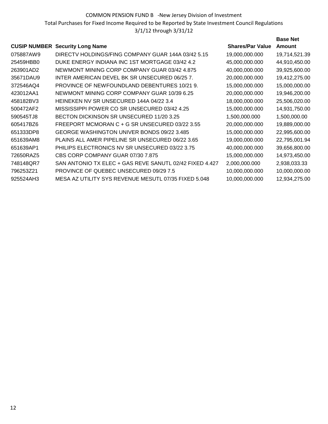COMMON PENSION FUND B -New Jersey Division of Investment Total Purchases for Fixed Income Required to be Reported by State Investment Council Regulations 3/1/12 through 3/31/12

### **CUSIP NUMBER** Security Long Name Shares/Par Value **Base Net Amount** 075887AW9 DIRECTV HOLDINGS/FING COMPANY GUAR 144A 03/42 5.15 19.000.000.000 19.714.521.39 25459HBB0 DUKE ENERGY INDIANA INC 1ST MORTGAGE 03/42 4.2 45,000,000.000 44,910,450.00 263901AD2 NEWMONT MINING CORP COMPANY GUAR 03/42 4.875 40,000,000.000 39,925,600.00 35671DAU9 INTER AMERICAN DEVEL BK SR UNSECURED 06/25 7. 20,000,000.000 19,412,275.00 372546AQ4 PROVINCE OF NEWFOUNDLAND DEBENTURES 10/21 9. 15,000,000.000 15,000,000.00 423012AA1 NEWMONT MINING CORP COMPANY GUAR 10/39 6.25 20,000,000.000 19,946,200.00 458182BV3 HEINEKEN NV SR UNSECURED 144A 04/22 3.4 18,000,000.000 25,506,020.00 500472AF2 MISSISSIPPI POWER CO SR UNSECURED 03/42 4.25 15,000,000.000 14,931,750.00 590545TJ8 BECTON DICKINSON SR UNSECURED 11/20 3.25 1,500,000.000 1,500,000.00 605417BZ6 FREEPORT MCMORAN C + G SR UNSECURED 03/22 3.55 20,000,000.000 19,889,000.00 651333DP8 GEORGE WASHINGTON UNIVER BONDS 09/22 3.485 15,000,000.000 22,995,600.00 651639AM8 PLAINS ALL AMER PIPELINE SR UNSECURED 06/22 3.65 19,000,000.000 22,795,001.94 651639AP1 PHILIPS ELECTRONICS NV SR UNSECURED 03/22 3.75 40,000,000.000 39,656,800.00 72650RAZ5 CBS CORP COMPANY GUAR 07/30 7.875 15,000,000.000 14,973,450.00 748148QR7 SAN ANTONIO TX ELEC + GAS REVE SANUTL 02/42 FIXED 4.427 2,000,000.000 2,938,033.33 796253Z21 PROVINCE OF QUEBEC UNSECURED 09/29 7.5 10,000,000.000 10,000,000.00 925524AH3 MESA AZ UTILITY SYS REVENUE MESUTL 07/35 FIXED 5.048 10,000,000.000 12,934,275.00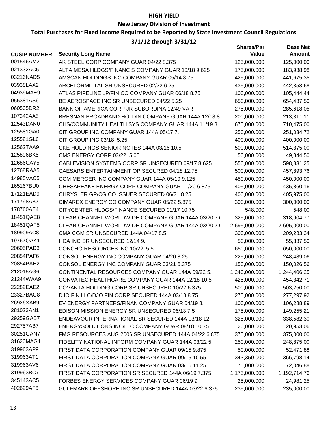### **HIGH YIELD**

### **New Jersey Division of Investment**

### **Total Purchases for Fixed Income Required to be Reported by State Investment Council Regulations**

### **3/1/12 through 3/31/12**

|                     |                                                      | <b>Shares/Par</b> | <b>Base Net</b> |
|---------------------|------------------------------------------------------|-------------------|-----------------|
| <b>CUSIP NUMBER</b> | <b>Security Long Name</b>                            | Value             | <b>Amount</b>   |
| 001546AM2           | AK STEEL CORP COMPANY GUAR 04/22 8.375               | 125,000.000       | 125,000.00      |
| 021332AC5           | ALTA MESA HLDGS/FINANC S COMPANY GUAR 10/18 9.625    | 175,000.000       | 183,938.98      |
| 03216NAD5           | AMSCAN HOLDINGS INC COMPANY GUAR 05/14 8.75          | 425,000.000       | 441,675.35      |
| 03938LAX2           | ARCELORMITTAL SR UNSECURED 02/22 6.25                | 435,000.000       | 442,353.68      |
| 04939MAE9           | ATLAS PIPELINE LP/FIN CO COMPANY GUAR 06/18 8.75     | 100,000.000       | 105,444.44      |
| 055381AS6           | BE AEROSPACE INC SR UNSECURED 04/22 5.25             | 650,000.000       | 654,437.50      |
| 060505DR2           | BANK OF AMERICA CORP JR SUBORDINA 12/49 VAR          | 275,000.000       | 285,618.05      |
| 107342AA5           | BRESNAN BROADBAND HOLDIN COMPANY GUAR 144A 12/18 8   | 200,000.000       | 213,311.11      |
| 12543DAN0           | CHS/COMMUNITY HEALTH SYS COMPANY GUAR 144A 11/19 8.  | 675,000.000       | 710,475.00      |
| 125581GA0           | CIT GROUP INC COMPANY GUAR 144A 05/17 7.             | 250,000.000       | 251,034.72      |
| 125581GL6           | CIT GROUP INC 03/18 5.25                             | 400,000.000       | 400,000.00      |
| 12562TAA9           | CKE HOLDINGS SENIOR NOTES 144A 03/16 10.5            | 500,000.000       | 514,375.00      |
| 125896BK5           | CMS ENERGY CORP 03/22 5.05                           | 50,000.000        | 49,844.50       |
| 12686CAY5           | CABLEVISION SYSTEMS CORP SR UNSECURED 09/17 8.625    | 550,000.000       | 598,331.25      |
| 12768RAA5           | CAESARS ENTERTAINMENT OP SECURED 04/18 12.75         | 500,000.000       | 457,893.76      |
| 14985VAC5           | CCM MERGER INC COMPANY GUAR 144A 05/19 9.125         | 450,000.000       | 450,000.00      |
| 165167BU0           | CHESAPEAKE ENERGY CORP COMPANY GUAR 11/20 6.875      | 405,000.000       | 435,860.16      |
| 17121EAD9           | CHRYSLER GP/CG CO ISSUER SECURED 06/21 8.25          | 400,000.000       | 405,975.00      |
| 171798AB7           | CIMAREX ENERGY CO COMPANY GUAR 05/22 5.875           | 300,000.000       | 300,000.00      |
| 178760AE4           | CITYCENTER HLDGS/FINANCE SECURED 01/17 10.75         | 548.000           | 548.00          |
| 18451QAE8           | CLEAR CHANNEL WORLDWIDE COMPANY GUAR 144A 03/20 7.   | 325,000.000       | 318,904.77      |
| 18451QAF5           | CLEAR CHANNEL WORLDWIDE COMPANY GUAR 144A 03/20 7.   | 2,695,000.000     | 2,695,000.00    |
| 189909AC8           | CMA CGM SR UNSECURED 144A 04/17 8.5                  | 300,000.000       | 209,233.34      |
| 19767QAK1           | HCA INC SR UNSECURED 12/14 9.                        | 50,000.000        | 55,837.50       |
| 20605PAD3           | CONCHO RESOURCES INC 10/22 5.5                       | 650,000.000       | 650,000.00      |
| 20854PAF6           | CONSOL ENERGY INC COMPANY GUAR 04/20 8.25            | 225,000.000       | 248,489.06      |
| 20854PAH2           | CONSOL ENERGY INC COMPANY GUAR 03/21 6.375           | 150,000.000       | 150,026.56      |
| 212015AG6           | CONTINENTAL RESOURCES COMPANY GUAR 144A 09/22 5.     | 1,240,000.000     | 1,244,406.25    |
| 21244WAA9           | CONVATEC HEALTHCARE COMPANY GUAR 144A 12/18 10.5     | 425,000.000       | 454,342.71      |
| 22282EAE2           | COVANTA HOLDING CORP SR UNSECURED 10/22 6.375        | 500,000.000       | 503,250.00      |
| 23327BAG8           | DJO FIN LLC/DJO FIN CORP SECURED 144A 03/18 8.75     | 275,000.000       | 277,297.92      |
| 26926XAB9           | EV ENERGY PARTNERS/FINAN COMPANY GUAR 04/198.        | 100,000.000       | 106,288.89      |
| 281023AN1           | EDISON MISSION ENERGY SR UNSECURED 06/13 7.5         | 175,000.000       | 149,255.21      |
| 29259GAB7           | ENDEAVOUR INTERNATIONAL SR SECURED 144A 03/18 12.    | 325,000.000       | 338,582.30      |
| 292757AB7           | ENERGYSOLUTIONS INC/LLC COMPANY GUAR 08/18 10.75     | 20,000.000        | 20,953.06       |
| 30251GAN7           | FMG RESOURCES AUG 2006 SR UNSECURED 144A 04/22 6.875 | 375,000.000       | 375,000.00      |
| 31620MAG1           | FIDELITY NATIONAL INFORM COMPANY GUAR 144A 03/22 5.  | 250,000.000       | 248,875.00      |
| 319963AP9           | FIRST DATA CORPORATION COMPANY GUAR 09/15 9.875      | 50,000.000        | 52,471.88       |
| 319963AT1           | FIRST DATA CORPORATION COMPANY GUAR 09/15 10.55      | 343,350.000       | 366,798.14      |
| 319963AV6           | FIRST DATA CORPORATION COMPANY GUAR 03/16 11.25      | 75,000.000        | 72,046.88       |
| 319963BC7           | FIRST DATA CORPORATION SR SECURED 144A 06/19 7.375   | 1,175,000.000     | 1,192,714.76    |
| 345143AC5           | FORBES ENERGY SERVICES COMPANY GUAR 06/19 9.         | 25,000.000        | 24,981.25       |
| 402629AF6           | GULFMARK OFFSHORE INC SR UNSECURED 144A 03/22 6.375  | 235,000.000       | 235,000.00      |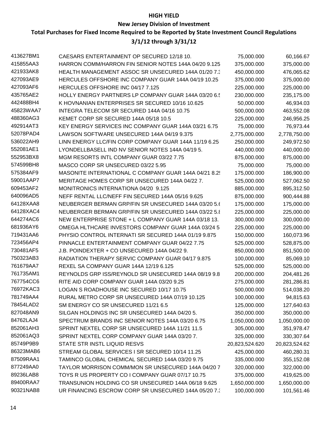### **HIGH YIELD**

### **New Jersey Division of Investment**

### **Total Purchases for Fixed Income Required to be Reported by State Investment Council Regulations**

### **3/1/12 through 3/31/12**

| 413627BM1 | CAESARS ENTERTAINMENT OP SECURED 12/18 10.            | 75,000.000     | 60,166.67     |
|-----------|-------------------------------------------------------|----------------|---------------|
| 415855AA3 | HARRON COMM/HARRON FIN SENIOR NOTES 144A 04/20 9.125  | 375,000.000    | 375,000.00    |
| 421933AK8 | HEALTH MANAGEMENT ASSOC SR UNSECURED 144A 01/20 7.3   | 450,000.000    | 476,065.62    |
| 427093AE9 | HERCULES OFFSHORE INC COMPANY GUAR 144A 04/19 10.25   | 375,000.000    | 375,000.00    |
| 427093AF6 | HERCULES OFFSHORE INC 04/17 7.125                     | 225,000.000    | 225,000.00    |
| 435765AE2 | HOLLY ENERGY PARTNERS LP COMPANY GUAR 144A 03/20 6.   | 230,000.000    | 235,175.00    |
| 442488BH4 | K HOVNANIAN ENTERPRISES SR SECURED 10/16 10.625       | 50,000.000     | 46,934.03     |
| 45823WAA7 | INTEGRA TELECOM SR SECURED 144A 04/16 10.75           | 500,000.000    | 463,552.08    |
| 488360AG3 | KEMET CORP SR SECURED 144A 05/18 10.5                 | 225,000.000    | 246,956.25    |
| 492914AT3 | KEY ENERGY SERVICES INC COMPANY GUAR 144A 03/21 6.75  | 75,000.000     | 76,973.44     |
| 52078PAD4 | LAWSON SOFTWARE UNSECURED 144A 04/19 9.375            | 2,775,000.000  | 2,778,750.00  |
| 536022AH9 | LINN ENERGY LLC/FIN CORP COMPANY GUAR 144A 11/19 6.25 | 250,000.000    | 249,972.50    |
| 552081AE1 | LYONDELLBASELL IND NV SENIOR NOTES 144A 04/19 5.      | 440,000.000    | 440,000.00    |
| 552953BX8 | MGM RESORTS INTL COMPANY GUAR 03/22 7.75              | 875,000.000    | 875,000.00    |
| 574599BH8 | MASCO CORP SR UNSECURED 03/22 5.95                    | 75,000.000     | 75,000.00     |
| 575384AF9 | MASONITE INTERNATIONAL C COMPANY GUAR 144A 04/21 8.2  | 175,000.000    | 186,900.00    |
| 59001AAP7 | MERITAGE HOMES CORP SR UNSECURED 144A 04/22 7.        | 525,000.000    | 527,062.50    |
| 609453AF2 | MONITRONICS INTERNATIONA 04/20 9.125                  | 885,000.000    | 895,312.50    |
| 640096AD5 | NEFF RENTAL LLC/NEFF FIN SECURED 144A 05/16 9.625     | 875,000.000    | 900,444.88    |
| 64128XAA8 | NEUBERGER BERMAN GRP/FIN SR UNSECURED 144A 03/20 5.6  | 175,000.000    | 175,000.00    |
| 64128XAC4 | NEUBERGER BERMAN GRP/FIN SR UNSECURED 144A 03/22 5.8  | 225,000.000    | 225,000.00    |
| 644274AC6 | NEW ENTERPRISE STONE + L COMPANY GUAR 144A 03/18 13.  | 300,000.000    | 300,000.00    |
| 681936AY6 | OMEGA HLTHCARE INVESTORS COMPANY GUAR 144A 03/24 5    | 225,000.000    | 225,000.00    |
| 719431AA6 | PHYSIO CONTROL INTERNATI SR SECURED 144A 01/19 9.875  | 150,000.000    | 160,073.96    |
| 723456AP4 | PINNACLE ENTERTAINMENT COMPANY GUAR 04/22 7.75        | 525,000.000    | 528,875.00    |
| 730481AF5 | J.B. POINDEXTER + CO UNSECURED 144A 04/22 9.          | 850,000.000    | 851,500.00    |
| 750323AB3 | RADIATION THERAPY SERVIC COMPANY GUAR 04/17 9.875     | 100,000.000    | 85,069.10     |
| 761679AA7 | REXEL SA COMPANY GUAR 144A 12/19 6.125                | 525,000.000    | 525,000.00    |
| 761735AM1 | REYNOLDS GRP ISS/REYNOLD SR UNSECURED 144A 08/19 9.8  | 200,000.000    | 204,481.26    |
| 767754CC6 | RITE AID CORP COMPANY GUAR 144A 03/20 9.25            | 275,000.000    | 281,286.81    |
| 76972KAC3 | LOGAN S ROADHOUSE INC SECURED 10/17 10.75             | 500,000.000    | 514,038.20    |
| 781749AA4 | RURAL METRO CORP SR UNSECURED 144A 07/19 10.125       | 100,000.000    | 94,815.63     |
| 78454LAD2 | SM ENERGY CO SR UNSECURED 11/21 6.5                   | 125,000.000    | 127,640.63    |
| 827048AN9 | SILGAN HOLDINGS INC SR UNSECURED 144A 04/20 5.        | 350,000.000    | 350,000.00    |
| 84762LAJ4 | SPECTRUM BRANDS INC SENIOR NOTES 144A 03/20 6.75      | 1,050,000.000  | 1,050,000.00  |
| 852061AH3 | SPRINT NEXTEL CORP SR UNSECURED 144A 11/21 11.5       | 305,000.000    | 351,978.47    |
| 852061AQ3 | SPRINT NEXTEL CORP COMPANY GUAR 144A 03/20 7.         | 325,000.000    | 330,307.64    |
| 85749P9B9 | STATE STR INSTL LIQUID RESVS                          | 20,823,524.620 | 20,823,524.62 |
| 86323MAB6 | STREAM GLOBAL SERVICES I SR SECURED 10/14 11.25       | 425,000.000    | 460,280.31    |
| 87509RAA1 | TAMINCO GLOBAL CHEMICAL SECURED 144A 03/20 9.75       | 335,000.000    | 355,152.08    |
| 877249AA0 | TAYLOR MORRISON COMM/MON SR UNSECURED 144A 04/20 7    | 320,000.000    | 322,000.00    |
| 89236LAB8 | TOYS R US PROPERTY CO I COMPANY GUAR 07/17 10.75      | 375,000.000    | 419,625.00    |
| 89400RAA7 | TRANSUNION HOLDING CO SR UNSECURED 144A 06/18 9.625   | 1,650,000.000  | 1,650,000.00  |
| 90321NAB8 | UR FINANCING ESCROW CORP SR UNSECURED 144A 05/20 7.   | 100,000.000    | 101,561.46    |
|           |                                                       |                |               |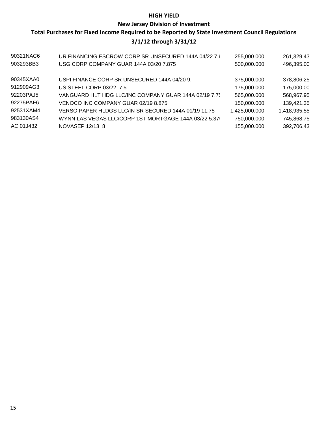### **HIGH YIELD**

### **New Jersey Division of Investment**

### **Total Purchases for Fixed Income Required to be Reported by State Investment Council Regulations 3/1/12 through 3/31/12**

| 90321NAC6 | UR FINANCING ESCROW CORP SR UNSECURED 144A 04/22 7.6  | 255,000.000   | 261,329.43   |
|-----------|-------------------------------------------------------|---------------|--------------|
| 903293BB3 | USG CORP COMPANY GUAR 144A 03/20 7.875                | 500,000.000   | 496,395.00   |
| 90345XAA0 | USPI FINANCE CORP SR UNSECURED 144A 04/20 9.          | 375,000.000   | 378,806.25   |
| 912909AG3 | US STEEL CORP 03/22 7.5                               | 175,000.000   | 175,000.00   |
| 92203PAJ5 | VANGUARD HLT HDG LLC/INC COMPANY GUAR 144A 02/19 7.75 | 565,000.000   | 568,967.95   |
| 92275PAF6 | VENOCO INC COMPANY GUAR 02/19 8.875                   | 150,000.000   | 139,421.35   |
| 92531XAM4 | VERSO PAPER HLDGS LLC/IN SR SECURED 144A 01/19 11.75  | 1,425,000.000 | 1,418,935.55 |
| 983130AS4 | WYNN LAS VEGAS LLC/CORP 1ST MORTGAGE 144A 03/22 5.37  | 750,000.000   | 745,868.75   |
| ACI01J432 | NOVASEP 12/13 8                                       | 155,000.000   | 392,706.43   |
|           |                                                       |               |              |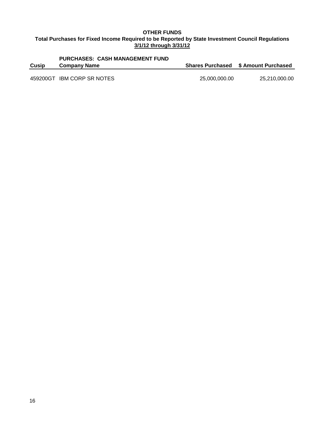### **OTHER FUNDS Total Purchases for Fixed Income Required to be Reported by State Investment Council Regulations 3/1/12 through 3/31/12**

# **PURCHASES: CASH MANAGEMENT FUND**

**Cusip Company Name Shares Purchased \$ Amount Purchased**

459200GT IBM CORP SR NOTES 25,000,000.00 25,210,000.00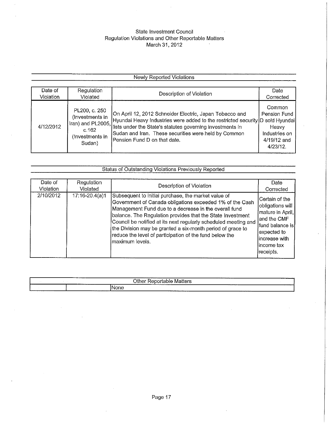## State Investment Council Regulation Violations and Other Reportable Matters<br>March 31, 2012

### **Newly Reported Violations**

| Date of   | Regulation                                                    | Description of Violation                                                                                                                                                                                                                                                                                              | Date                                                                           |
|-----------|---------------------------------------------------------------|-----------------------------------------------------------------------------------------------------------------------------------------------------------------------------------------------------------------------------------------------------------------------------------------------------------------------|--------------------------------------------------------------------------------|
| Violation | Violated                                                      |                                                                                                                                                                                                                                                                                                                       | Corrected                                                                      |
| 4/12/2012 | PL200, c. 250<br>(Investments in<br>(Investments in<br>Sudan) | On April 12, 2012 Schneider Electric, Japan Tobacco and<br>Hyundai Heavy Industries were added to the restricted security D sold Hyundai<br>Tran) and PL2005, interval month in the State's statutes governing investments in<br>Sudan and Iran. These securities were held by Common<br>Pension Fund D on that date. | Common<br>Pension Fund<br>Heavy<br>Industries on<br>4/19/12 and<br>$4/23/12$ . |

|                                   | Status of Outstanding Violations Previously Reported |                                                                                                                                                                                                                                                                                                                                                                                                |                                                                                                                                                         |  |  |  |  |  |  |
|-----------------------------------|------------------------------------------------------|------------------------------------------------------------------------------------------------------------------------------------------------------------------------------------------------------------------------------------------------------------------------------------------------------------------------------------------------------------------------------------------------|---------------------------------------------------------------------------------------------------------------------------------------------------------|--|--|--|--|--|--|
| Date of<br>Violation<br>2/10/2012 | Regulation<br>Violated<br>17:16-20.4(a)1             | Description of Violation<br>Subsequent to initial purchase, the market value of                                                                                                                                                                                                                                                                                                                | Date<br>Corrected                                                                                                                                       |  |  |  |  |  |  |
|                                   |                                                      | Government of Canada obligations exceeded 1% of the Cash<br>Management Fund due to a decrease in the overall fund<br>balance. The Regulation provides that the State Investment<br>Council be notified at its next regularly scheduled meeting and<br>the Division may be granted a six-month period of grace to<br>reduce the level of participation of the fund below the<br>maximum levels. | Certain of the<br>obligations will<br>mature in April,<br>and the CMF<br>lfund balance isl<br>expected to<br>lincrease with<br>lincome tax<br>receipts. |  |  |  |  |  |  |

| .<br>____              | -------- | ⊖ther<br>⊧ Matters<br>$  -$<br>, seportable <sup>,</sup><br>------------------ | _________________________                           | --------------- |
|------------------------|----------|--------------------------------------------------------------------------------|-----------------------------------------------------|-----------------|
| ـــــ<br>_____________ |          | ________________________<br><b>None</b><br>----------------                    | __________<br>_________________<br>________________ |                 |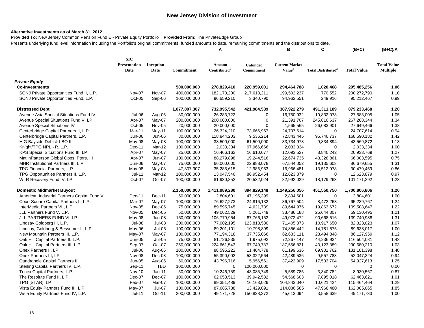### **Alternative Investments as of March 31, 2012**

**Provided To:** New Jersey Common Pension Fund E - Private Equity Portfolio **Provided From:** The PrivateEdge Group Presents underlying fund level information including the Portfolio's original commitments, funded amounts to date, remaining commitments and the distributions to date.

|                                             |                                    |                   |               | Α                                  |                               | в                                           | C                              | $=(B+C)$           | $=(B+C)/A$                            |
|---------------------------------------------|------------------------------------|-------------------|---------------|------------------------------------|-------------------------------|---------------------------------------------|--------------------------------|--------------------|---------------------------------------|
|                                             | <b>SIC</b><br>Presentation<br>Date | Inception<br>Date | Commitment    | Amount<br>Contributed <sup>1</sup> | <b>Unfunded</b><br>Commitment | <b>Current Market</b><br>Value <sup>3</sup> | Total Distributed <sup>2</sup> | <b>Total Value</b> | <b>Total Value</b><br><b>Multiple</b> |
| <b>Private Equity</b>                       |                                    |                   |               |                                    |                               |                                             |                                |                    |                                       |
| <b>Co-Investments</b>                       |                                    |                   | 500,000,000   | 278,829,410                        | 220,959,001                   | 294,464,788                                 | 1,020,468                      | 295,485,256        | 1.06                                  |
| SONJ Private Opportunities Fund II, L.P.    | Nov-07                             | Nov-07            | 400,000,000   | 182,170,200                        | 217,618,211                   | 199,502,237                                 | 770,552                        | 200,272,790        | 1.10                                  |
| SONJ Private Opportunities Fund, L.P.       | Oct-05                             | Sep-06            | 100,000,000   | 96,659,210                         | 3,340,790                     | 94,962,551                                  | 249,916                        | 95,212,467         | 0.99                                  |
| <b>Distressed Debt</b>                      |                                    |                   | 1,077,807,307 | 732,995,542                        | 421,984,539                   | 387,922,279                                 | 491,311,189                    | 879,233,468        | 1.20                                  |
| Avenue Asia Special Situations Fund IV      | <b>Jul-06</b>                      | Aug-06            | 30,000,000    | 26,283,722                         | 0                             | 16,750,932                                  | 10,832,073                     | 27,583,005         | 1.05                                  |
| Avenue Special Situations Fund V, LP        | Apr-07                             | May-07            | 200,000,000   | 200,000,000                        | $\mathbf 0$                   | 21,391,707                                  | 245,816,637                    | 267,208,344        | 1.34                                  |
| Avenue Special Situations IV                | Oct-05                             | Nov-05            | 20,000,000    | 20,000,000                         | $\mathbf 0$                   | 1,565,565                                   | 26,083,901                     | 27,649,466         | 1.38                                  |
| Centerbridge Capital Partners II, L.P.      | Mar-11                             | May-11            | 100,000,000   | 26,324,210                         | 73,666,957                    | 24,707,614                                  | $\mathbf 0$                    | 24,707,614         | 0.94                                  |
| Centerbridge Capital Partners, L.P.         | Jun-06                             | Jun-06            | 80,000,000    | 118,844,203                        | 9,536,214                     | 72,843,445                                  | 95,746,737                     | 168,590,182        | 1.42                                  |
| HIG Bayside Debt & LBO II                   | May-08                             | May-08            | 100,000,000   | 38,500,000                         | 61,500,000                    | 33,734,978                                  | 9,834,894                      | 43,569,872         | 1.13                                  |
| Knight/TPG NPL - R, L.P.                    | Dec-11                             | Mar-12            | 100,000,000   | 2,033,334                          | 97,966,666                    | 2,033,334                                   | $\Omega$                       | 2,033,334          | 1.00                                  |
| KPS Special Situations Fund III, LP         | Apr-07                             | May-07            | 25,000,000    | 16,466,162                         | 16,610,677                    | 12,093,527                                  | 8,840,242                      | 20,933,769         | 1.27                                  |
| MatlinPatterson Global Opps. Ptnrs. III     | Apr-07                             | Jun-07            | 100,000,000   | 88,279,898                         | 19,244,516                    | 22,674,735                                  | 43,328,861                     | 66,003,595         | 0.75                                  |
| MHR Institutional Partners III, L.P.        | Jun-06                             | May-07            | 75,000,000    | 66,000,000                         | 22,988,078                    | 67,544,052                                  | 19,135,603                     | 86,679,655         | 1.31                                  |
| TPG Financial Partners, L.P.                | May-08                             | May-08            | 47,807,307    | 35,285,615                         | 12,986,953                    | 16,966,481                                  | 13,512,978                     | 30,479,459         | 0.86                                  |
| TPG Opportunities Partners II, L.P.         | $Jul-11$                           | Mar-12            | 100,000,000   | 13,047,546                         | 86,952,454                    | 12,623,879                                  | 0                              | 12,623,879         | 0.97                                  |
| WLR Recovery Fund IV, LP                    | Oct-07                             | Oct-07            | 100,000,000   | 81,930,852                         | 20,532,024                    | 82,992,029                                  | 18,179,263                     | 101,171,292        | 1.23                                  |
| <b>Domestic Midmarket Buyout</b>            |                                    |                   | 2,150,000,000 | 1,411,989,280                      | 894,829,148                   | 1,249,256,056                               | 451,550,750                    | 1,700,806,806      | 1.20                                  |
| American Industrial Partners Capital Fund V | Dec-11                             | Dec-11            | 50,000,000    | 2,804,601                          | 47,195,399                    | 2,804,601                                   | $\mathbf 0$                    | 2,804,601          | 1.00                                  |
| Court Square Capital Partners II, L.P.      | Mar-07                             | May-07            | 100,000,000   | 76,627,273                         | 24,816,132                    | 86,767,504                                  | 8,472,263                      | 95,239,767         | 1.24                                  |
| InterMedia Partners VII, L.P.               | <b>Nov-05</b>                      | $Dec-05$          | 75,000,000    | 89,595,745                         | 4,621,739                     | 89,644,975                                  | 19,863,672                     | 109,508,647        | 1.22                                  |
| JLL Partners Fund V, L.P.                   | Nov-05                             | Dec-05            | 50,000,000    | 49,062,529                         | 5,261,749                     | 33,486,188                                  | 25,644,307                     | 59,130,495         | 1.21                                  |
| JLL PARTNERS FUND VI, LP                    | May-08                             | <b>Jun-08</b>     | 150,000,000   | 106,779,954                        | 87,766,153                    | 49,072,472                                  | 90,668,516                     | 139,740,988        | 1.31                                  |
| Lindsay Goldberg III, L.P.                  | $Jul-08$                           | Jul-08            | 200,000,000   | 77,002,195                         | 123,818,580                   | 71,405,373                                  | 10,917,650                     | 82,323,023         | 1.07                                  |
| Lindsay, Goldberg & Bessemer II, L.P.       | May-06                             | Jul-06            | 100,000,000   | 89,201,101                         | 10,798,899                    | 74,856,442                                  | 14,781,575                     | 89,638,017         | 1.00                                  |
| New Mountain Partners III, L.P.             | May-07                             | May-07            | 100,000,000   | 77,194,318                         | 37,735,066                    | 62,633,111                                  | 23,494,848                     | 86,127,959         | 1.12                                  |
| Oak Hill Capital Partners II, L.P.          | Jun-05                             | $Jul-05$          | 75,000,000    | 81,726,835                         | 1,975,092                     | 72,267,147                                  | 44,236,934                     | 116,504,081        | 1.43                                  |
| Oak Hill Capital Partners III, L.P.         | Sep-07                             | Oct-07            | 250,000,000   | 224,661,543                        | 67,749,787                    | 187,556,821                                 | 43,123,389                     | 230,680,210        | 1.03                                  |
| Onex Partners II, LP                        | Jul-06                             | Aug-06            | 100,000,000   | 88,595,222                         | 11,404,778                    | 61,199,636                                  | 69,901,762                     | 131,101,398        | 1.48                                  |
| Onex Partners III, LP                       | Nov-08                             | Dec-08            | 100,000,000   | 55,390,002                         | 53,322,564                    | 42,489,536                                  | 9,557,788                      | 52,047,324         | 0.94                                  |
| Quadrangle Capital Partners II              | <b>Jun-05</b>                      | Aug-05            | 50,000,000    | 43,796,716                         | 5,956,561                     | 37,423,909                                  | 17,503,704                     | 54,927,613         | 1.25                                  |
| Sterling Capital Partners IV, L.P.          | Sep-11                             | TBD               | 100,000,000   | 0                                  | 100,000,000                   | 0                                           | $\mathbf 0$                    | 0                  | 0.00                                  |
| Tenex Capital Partners, L.P.                | <b>Nov-10</b>                      | Jan-11            | 50,000,000    | 10,246,759                         | 43,085,749                    | 5,589,785                                   | 3,340,782                      | 8,930,567          | 0.87                                  |
| The Resolute Fund II, L.P.                  | Dec-07                             | Dec-07            | 100,000,000   | 62,053,513                         | 39,942,532                    | 54,568,603                                  | 7,895,018                      | 62,463,621         | 1.01                                  |
| TPG [STAR], LP                              | Feb-07                             | Mar-07            | 100,000,000   | 89,351,489                         | 16,163,026                    | 104,843,040                                 | 10,621,424                     | 115,464,464        | 1.29                                  |
| Vista Equity Partners Fund III, L.P.        | May-07                             | Jul-07            | 100,000,000   | 87,685,738                         | 13,429,091                    | 114,036,585                                 | 47,968,480                     | 162,005,065        | 1.85                                  |
| Vista Equity Partners Fund IV, L.P.         | $Jul-11$                           | Oct-11            | 200,000,000   | 49,171,728                         | 150,828,272                   | 45,613,094                                  | 3,558,639                      | 49,171,733         | 1.00                                  |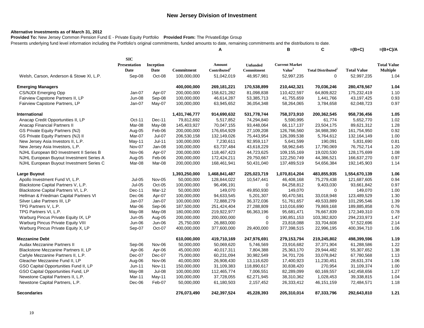### **Alternative Investments as of March 31, 2012**

**Provided To:** New Jersey Common Pension Fund E - Private Equity Portfolio **Provided From:** The PrivateEdge Group Presents underlying fund level information including the Portfolio's original commitments, funded amounts to date, remaining commitments and the distributions to date.

|                                          |                     |           |               | Α                        |                 | В                     | C                                    | $=(B+C)$           | $=(B+C)/A$         |
|------------------------------------------|---------------------|-----------|---------------|--------------------------|-----------------|-----------------------|--------------------------------------|--------------------|--------------------|
|                                          | <b>SIC</b>          |           |               |                          |                 |                       |                                      |                    |                    |
|                                          | <b>Presentation</b> | Inception |               | Amount                   | <b>Unfunded</b> | <b>Current Market</b> |                                      |                    | <b>Total Value</b> |
|                                          | Date                | Date      | Commitment    | Contributed <sup>1</sup> | Commitment      | Value <sup>3</sup>    | <b>Total Distributed<sup>2</sup></b> | <b>Total Value</b> | <b>Multiple</b>    |
| Welsh, Carson, Anderson & Stowe XI, L.P. | Sep-08              | Oct-08    | 100,000,000   | 51,042,019               | 48,957,981      | 52,997,235            | 0                                    | 52,997,235         | 1.04               |
| <b>Emerging Managers</b>                 |                     |           | 400,000,000   | 269,181,221              | 170,538,899     | 210,442,321           | 70,036,246                           | 280,478,567        | 1.04               |
| <b>CS/NJDI Emerging Opp</b>              | Jan-07              | Apr-07    | 200,000,000   | 158,621,282              | 81,098,838      | 110,422,597           | 64,809,822                           | 175,232,419        | 1.10               |
| Fairview Capstone Partners II, LP        | Jun-08              | Sep-08    | 100,000,000   | 46,614,287               | 53,385,713      | 41,755,659            | 1,441,766                            | 43,197,425         | 0.93               |
| Fairview Capstone Partners, LP           | Jan-07              | May-07    | 100,000,000   | 63,945,652               | 36,054,348      | 58,264,065            | 3,784,658                            | 62,048,723         | 0.97               |
| International                            |                     |           | 1,431,746,777 | 914,690,632              | 531,778,744     | 758,373,910           | 200,362,545                          | 958,736,456        | 1.05               |
| Anacap Credit Opportunities II, LP       | Oct-11              | Dec-11    | 79,812,692    | 5,517,852                | 74,294,840      | 5,590,995             | 61,774                               | 5,652,770          | 1.02               |
| Anacap Financial Partners II             | Mar-08              | May-08    | 145,403,927   | 70,047,155               | 93,448,064      | 66,117,137            | 23,504,175                           | 89,621,312         | 1.28               |
| <b>GS Private Equity Partners (NJ)</b>   | Aug-05              | Feb-06    | 200,000,000   | 176,654,929              | 27,109,208      | 126,766,560           | 34,988,390                           | 161,754,950        | 0.92               |
| GS Private Equity Partners (NJ) II       | Mar-07              | Jul-07    | 206,530,158   | 132,149,026              | 75,443,954      | 126,399,538           | 5,764,612                            | 132, 164, 149      | 1.00               |
| New Jersey Asia Investors II, L.P.       | May-11              | Jul-11    | 100,000,000   | 7,230,611                | 92,959,117      | 5,641,599             | 190,091                              | 5,831,690          | 0.81               |
| New Jersey Asia Investors, L.P.          | Nov-07              | Jan-08    | 100,000,000   | 63,737,484               | 43,618,229      | 58,962,645            | 17,790,069                           | 76,752,714         | 1.20               |
| NJHL European BO Investment II Series B  | Nov-06              | Apr-07    | 200,000,000   | 118,467,423              | 44,723,625      | 109,155,169           | 19,020,530                           | 128,175,699        | 1.08               |
| NJHL European Buyout Investment Series A | Aug-05              | Feb-06    | 200,000,000   | 172,424,211              | 29,750,667      | 122,250,749           | 44,386,521                           | 166,637,270        | 0.97               |
| NJHL European Buyout Investment Series C | Mar-08              | Mar-08    | 200,000,000   | 168,461,941              | 50,431,040      | 137,489,519           | 54,656,384                           | 192,145,903        | 1.14               |
| <b>Large Buyout</b>                      |                     |           | 1,393,250,000 | 1,468,841,487            | 225,023,719     | 1,070,814,204         | 483,855,935                          | 1,554,670,139      | 1.06               |
| Apollo Investment Fund VI, L.P.          | Jul-05              | Nov-05    | 50,000,000    | 128,844,022              | 10,547,441      | 46,408,168            | 75,279,438                           | 121,687,605        | 0.94               |
| Blackstone Capital Partners V, L.P.      | <b>Jul-05</b>       | Oct-05    | 100,000,000   | 96,496,191               | $\Omega$        | 84,258,812            | 9,403,030                            | 93,661,842         | 0.97               |
| Blackstone Capital Partners VI, L.P.     | Dec-11              | Mar-12    | 50,000,000    | 149,070                  | 49,850,930      | 149,070               | 0                                    | 149,070            | 1.00               |
| Hellman & Friedman Capital Partners VI   | Dec-06              | Apr-07    | 100,000,000   | 94,633,545               | 5,201,307       | 90,470,581            | 33,018,948                           | 123,489,529        | 1.30               |
| Silver Lake Partners III, LP             | Jan-07              | Jan-07    | 100,000,000   | 72,888,279               | 36,372,036      | 51,761,657            | 49,533,889                           | 101,295,546        | 1.39               |
| TPG Partners V, L.P.                     | Mar-06              | Sep-06    | 187,500,000   | 251,424,404              | 27,288,809      | 110,016,690           | 79,869,168                           | 189,885,858        | 0.76               |
| TPG Partners VI, L.P.                    | May-08              | May-08    | 180,000,000   | 219,922,977              | 66,363,196      | 95,681,471            | 76,667,839                           | 172,349,310        | 0.78               |
| Warburg Pincus Private Equity IX, LP     | Jun-05              | Aug-05    | 200,000,000   | 200,000,000              | 0               | 190,851,153           | 103,382,820                          | 294,233,973        | 1.47               |
| Warburg Pincus Private Equity VIII       | Jun-06              | Jun-06    | 25,750,000    | 26,883,000               | $\Omega$        | 23,818,088            | 33,704,608                           | 57,522,696         | 2.14               |
| Warburg Pincus Private Equity X, LP      | Sep-07              | Oct-07    | 400,000,000   | 377,600,000              | 29,400,000      | 377,398,515           | 22,996,195                           | 400,394,710        | 1.06               |
| <b>Mezzanine Debt</b>                    |                     |           | 610,000,000   | 419,710,169              | 247,976,691     | 279,153,794           | 219,245,802                          | 498,399,596        | 1.19               |
| Audax Mezzanine Partners II              | Sep-06              | Nov-06    | 50,000,000    | 50,069,620               | 5,746,569       | 23,916,682            | 37,371,904                           | 61,288,586         | 1.22               |
| Blackstone Mezzanine Partners II, LP     | Apr-06              | Apr-06    | 45,000,000    | 40,017,311               | 7,804,388       | 25,363,170            | 29,944,482                           | 55,307,652         | 1.38               |
| Carlyle Mezzanine Partners II, L.P.      | Dec-07              | Dec-07    | 75,000,000    | 60,231,094               | 30,982,549      | 34,701,726            | 33,078,842                           | 67,780,568         | 1.13               |
| Gleacher Mezzanine Fund II, LP           | Aug-06              | Nov-06    | 40,000,000    | 26,908,430               | 13,116,620      | 17,400,923            | 11,230,451                           | 28,631,374         | 1.06               |
| GSO Capital Opportunities Fund II, LP    | $Jun-11$            | Nov-11    | 150,000,000   | 31,109,383               | 118,890,617     | 30,838,420            | 270,954                              | 31,109,374         | 1.00               |
| GSO Capital Opportunities Fund, LP       | May-08              | Jul-08    | 100,000,000   | 112,465,774              | 7,006,551       | 82,289,099            | 60,169,557                           | 142,458,656        | 1.27               |
| Newstone Capital Partners II, L.P.       | Mar-11              | May-11    | 100,000,000   | 37,728,055               | 62,271,945      | 38,310,362            | 1,028,453                            | 39,338,815         | 1.04               |
| Newstone Capital Partners, L.P.          | Dec-06              | Feb-07    | 50,000,000    | 61,180,503               | 2,157,452       | 26,333,412            | 46, 151, 159                         | 72,484,571         | 1.18               |
| <b>Secondaries</b>                       |                     |           | 276.073.490   | 242,397,524              | 45.228.393      | 205,310,014           | 87,333,796                           | 292,643,810        | 1.21               |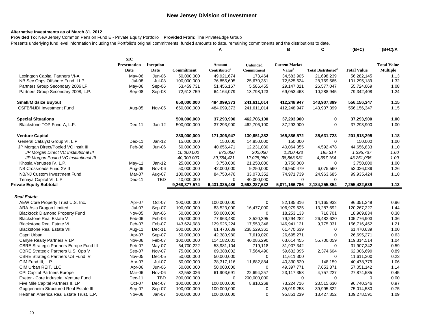#### **Alternative Investments as of March 31, 2012**

**Provided To:** New Jersey Common Pension Fund E - Private Equity Portfolio **Provided From:** The PrivateEdge Group

Presents underlying fund level information including the Portfolio's original commitments, funded amounts to date, remaining commitments and the distributions to date. **A B C =(B+C) =(B+C)/A**

|                                                | <b>SIC</b>          |               |               |                          |                 |                       |                                      |                    |                    |
|------------------------------------------------|---------------------|---------------|---------------|--------------------------|-----------------|-----------------------|--------------------------------------|--------------------|--------------------|
|                                                | <b>Presentation</b> | Inception     |               | Amount                   | <b>Unfunded</b> | <b>Current Market</b> |                                      |                    | <b>Total Value</b> |
|                                                | <b>Date</b>         | Date          | Commitment    | Contributed <sup>1</sup> | Commitment      | Value <sup>3</sup>    | <b>Total Distributed<sup>2</sup></b> | <b>Total Value</b> | <b>Multiple</b>    |
| Lexington Capital Partners VI-A                | May-06              | $Jun-06$      | 50,000,000    | 49,921,674               | 173,464         | 34,583,905            | 21,698,239                           | 56,282,145         | 1.13               |
| NB Sec Opps Offshore Fund II LP                | Jul-08              | Jul-08        | 100,000,000   | 76,855,605               | 25,670,351      | 72,525,624            | 28,769,565                           | 101,295,189        | 1.32               |
| Partners Group Secondary 2006 LP               | May-06              | Sep-06        | 53,459,731    | 51,456,167               | 5,586,455       | 29,147,021            | 26,577,047                           | 55,724,069         | 1.08               |
| Partners Group Secondary 2008, L.P.            | Sep-08              | Sep-08        | 72,613,759    | 64,164,079               | 13,798,123      | 69,053,463            | 10,288,945                           | 79,342,408         | 1.24               |
| <b>Small/Midsize Buyout</b>                    |                     |               | 650,000,000   | 484,099,373              | 241,611,014     | 412,248,947           | 143,907,399                          | 556,156,347        | 1.15               |
| <b>CSFB/NJDI Investment Fund</b>               | Aug-05              | <b>Nov-05</b> | 650,000,000   | 484,099,373              | 241,611,014     | 412,248,947           | 143,907,399                          | 556,156,347        | 1.15               |
| <b>Special Situations</b>                      |                     |               | 500,000,000   | 37,293,900               | 462,706,100     | 37,293,900            | 0                                    | 37,293,900         | 1.00               |
| Blackstone TOP Fund-A, L.P.                    | Dec-11              | $Jan-12$      | 500,000,000   | 37,293,900               | 462,706,100     | 37,293,900            | 0                                    | 37,293,900         | 1.00               |
| <b>Venture Capital</b>                         |                     |               | 280,000,000   | 171,306,947              | 130,651,382     | 165,886,572           | 35,631,723                           | 201,518,295        | 1.18               |
| General Catalyst Group VI, L.P.                | Dec-11              | $Jan-12$      | 15,000,000    | 150,000                  | 14,850,000      | 150,000               | 0                                    | 150,000            | 1.00               |
| JP Morgan Direct/Pooled VC Instit III          | Feb-06              | $Jun-06$      | 50,000,000    | 40,656,471               | 12,231,030      | 40,064,355            | 4,592,478                            | 44,656,833         | 1.10               |
| JP Morgan Direct VC Institutional III          |                     |               | 10,000,000    | 872,050                  | 202,050         | 1,200,423             | 195,314                              | 1,395,737          | 1.60               |
| JP Morgan Pooled VC Institutional III          |                     |               | 40,000,000    | 39,784,421               | 12,028,980      | 38,863,931            | 4,397,164                            | 43,261,095         | 1.09               |
| Khosla Venutres IV, L.P.                       | May-11              | $Jan-12$      | 25,000,000    | 3,750,000                | 21,250,000      | 3,750,000             | $\Omega$                             | 3,750,000          | 1.00               |
| NB Crossroads Fund XVIII                       | Aug-06              | Nov-06        | 50,000,000    | 42,000,000               | 9,250,000       | 46,950,479            | 6,075,560                            | 53,026,039         | 1.26               |
| NB/NJ Custom Investment Fund                   | Mar-07              | Aug-07        | 100,000,000   | 84,750,476               | 33,070,352      | 74,971,739            | 24,963,685                           | 99,935,424         | 1.18               |
| Tenaya Capital VI, L.P.                        | Dec-11              | <b>TBD</b>    | 40,000,000    | $\Omega$                 | 40,000,000      | $\Omega$              | $\Omega$                             |                    |                    |
| <b>Private Equity Subtotal</b>                 |                     |               | 9,268,877,574 | 6,431,335,486            | 3,593,287,632   | 5,071,166,786         | 2,184,255,854                        | 7,255,422,639      | 1.13               |
| <b>Real Estate</b>                             |                     |               |               |                          |                 |                       |                                      |                    |                    |
| AEW Core Property Trust U.S. Inc.              | Apr-07              | Oct-07        | 100,000,000   | 100,000,000              | 0               | 82,185,316            | 14,165,933                           | 96,351,249         | 0.96               |
| ARA Asia Dragon Limited                        | $Jul-07$            | Sep-07        | 100,000,000   | 83,523,000               | 16,477,000      | 106,979,535           | 13,287,692                           | 120,267,227        | 1.44               |
| <b>Blackrock Diamond Property Fund</b>         | Nov-05              | Jun-06        | 50,000,000    | 50,000,000               | $\Omega$        | 18,253,133            | 716,701                              | 18,969,834         | 0.38               |
| Blackstone Real Estate V                       | Feb-06              | Feb-06        | 75,000,000    | 77,963,480               | 3,520,395       | 79,294,282            | 26,482,620                           | 105,776,903        | 1.36               |
| <b>Blackstone Real Estate VI</b>               | Feb-07              | Feb-07        | 143,624,688   | 129,926,224              | 17,553,346      | 146,941,121           | 9,775,331                            | 156,716,452        | 1.21               |
| <b>Blackstone Real Estate VII</b>              | Aug-11              | Dec-11        | 300,000,000   | 61,470,639               | 238,529,361     | 61,470,639            | $\Omega$                             | 61,470,639         | 1.00               |
| Capri Urban                                    | Apr-07              | Sep-07        | 50,000,000    | 42,380,980               | 7,619,020       | 26,695,271            | 0                                    | 26,695,271         | 0.63               |
| Carlyle Realty Partners V LP                   | Nov-06              | Feb-07        | 100,000,000   | 114,182,001              | 40,086,290      | 63,614,455            | 55,700,059                           | 119,314,514        | 1.04               |
| <b>CBRE Strategic Partners Europe Fund III</b> | Feb-07              | May-07        | 54,700,222    | 53,981,104               | 719,118         | 31,907,342            | $\Omega$                             | 31,907,342         | 0.59               |
| CBRE Strategic Partners U.S. Opp V             | Sep-07              | <b>Nov-07</b> | 75,000,000    | 69,388,002               | 7,564,490       | 59,632,095            | 2,374,604                            | 62,006,699         | 0.89               |
| <b>CBRE Strategic Partners US Fund IV</b>      | Nov-05              | $Dec-05$      | 50,000,000    | 50,000,000               | $\mathbf 0$     | 11,611,300            | $\Omega$                             | 11,611,300         | 0.23               |
| CIM Fund III, L.P.                             | Apr-07              | Jul-07        | 50,000,000    | 38,317,116               | 11,682,884      | 40,330,620            | 148,159                              | 40,478,779         | 1.06               |
| CIM Urban REIT, LLC                            | Apr-06              | Jun-06        | 50,000,000    | 50,000,000               | 0               | 49,397,771            | 7,653,371                            | 57,051,142         | 1.14               |
| <b>CPI Capital Partners Europe</b>             | Mar-06              | Nov-06        | 82,558,026    | 61,903,691               | 22,694,257      | 23,117,358            | 4,757,227                            | 27,874,585         | 0.45               |
| Exeter - Core Industrial Venture Fund          | Dec-11              | <b>TBD</b>    | 200,000,000   | $\mathbf 0$              | 200,000,000     | $\Omega$              | $\Omega$                             | $\Omega$           | 0.00               |
| Five Mile Capital Partners II, LP              | Oct-07              | Dec-07        | 100,000,000   | 100,000,000              | 8,810,268       | 73,224,716            | 23,515,630                           | 96,740,346         | 0.97               |
| Guggenheim Structured Real Estate III          | Sep-07              | Sep-07        | 100,000,000   | 100,000,000              | $\Omega$        | 35,019,258            | 39,995,322                           | 75,014,580         | 0.75               |
| Heitman America Real Estate Trust, L.P.        | Nov-06              | $Jan-07$      | 100,000,000   | 100,000,000              | $\Omega$        | 95,851,239            | 13,427,352                           | 109,278,591        | 1.09               |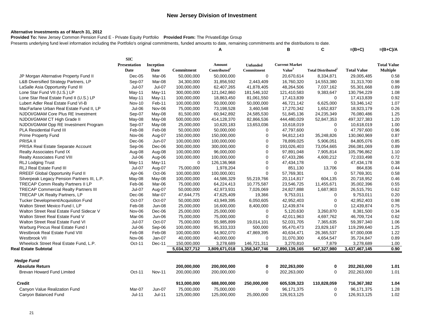#### **Alternative Investments as of March 31, 2012**

**Provided To:** New Jersey Common Pension Fund E - Private Equity Portfolio **Provided From:** The PrivateEdge Group

Presents underlying fund level information including the Portfolio's original commitments, funded amounts to date, remaining commitments and the distributions to date. **A B C =(B+C) =(B+C)/A**

|                                              | <b>SIC</b>          |               |               |                          |                 |                       |                                       |                    |                    |
|----------------------------------------------|---------------------|---------------|---------------|--------------------------|-----------------|-----------------------|---------------------------------------|--------------------|--------------------|
|                                              | <b>Presentation</b> | Inception     |               | Amount                   | <b>Unfunded</b> | <b>Current Market</b> |                                       |                    | <b>Total Value</b> |
|                                              | Date                | Date          | Commitment    | Contributed <sup>1</sup> | Commitment      | Value <sup>3</sup>    | <b>Total Distributed</b> <sup>2</sup> | <b>Total Value</b> | <b>Multiple</b>    |
| JP Morgan Alternative Property Fund II       | $Dec-05$            | Mar-06        | 50,000,000    | 50,000,000               | $\mathbf 0$     | 20,670,614            | 8,334,871                             | 29,005,485         | 0.58               |
| L&B Diversified Strategy Partners, LP        | Sep-07              | Mar-08        | 34,300,000    | 31,856,592               | 2,443,409       | 16,760,320            | 14,553,380                            | 31,313,700         | 0.98               |
| LaSalle Asia Opportunity Fund III            | Jul-07              | Jul-07        | 100,000,000   | 62,407,265               | 41,878,405      | 48,264,506            | 7,037,162                             | 55,301,668         | 0.89               |
| Lone Star Fund VII (U.S.) LP                 | May-11              | May-11        | 300,000,000   | 121,042,860              | 181,546,102     | 121,410,583           | 9,383,647                             | 130,794,229        | 1.08               |
| Lone Star Real Estate Fund II (U.S.) LP      | May-11              | May-11        | 100,000,000   | 18,863,450               | 81,061,550      | 17,413,839            | $\mathbf 0$                           | 17,413,839         | 0.92               |
| Lubert Adler Real Estate Fund VI-B           | <b>Nov-10</b>       | Feb-11        | 100,000,000   | 50,000,000               | 50,000,000      | 46,721,142            | 6,625,000                             | 53,346,142         | 1.07               |
| MacFarlane Urban Real Estate Fund II, LP     | Jul-06              | Nov-06        | 75,000,000    | 73,198,528               | 3,460,548       | 17,270,342            | 1,652,837                             | 18,923,179         | 0.26               |
| NJDOI/GMAM Core Plus RE Investment           | Sep-07              | May-08        | 81,500,000    | 60,942,892               | 24,585,530      | 51,845,136            | 24,235,349                            | 76,080,486         | 1.25               |
| NJDOI/GMAM CT High Grade II                  | May-08              | May-08        | 500,000,000   | 414,128,370              | 82,866,536      | 444,480,029           | 52,847,353                            | 497,327,383        | 1.20               |
| NJDOI/GMAM Opp RE Investment Program         | Sep-07              | May-08        | 25,000,000    | 10,620,183               | 13,653,036      | 10,618,019            | 0                                     | 10,618,019         | 1.00               |
| <b>PLA Residential Fund III</b>              | Feb-08              | Feb-08        | 50,000,000    | 50,000,000               | $\mathbf 0$     | 47,797,600            | $\mathbf 0$                           | 47,797,600         | 0.96               |
| <b>Prime Property Fund</b>                   | Nov-06              | Aug-07        | 150,000,000   | 150,000,000              | 0               | 94,812,143            | 35,248,826                            | 130,060,969        | 0.87               |
| PRISA II                                     | Dec-06              | Jun-07        | 100,000,000   | 100,000,000              | $\mathbf 0$     | 78,899,025            | 5,906,051                             | 84,805,076         | 0.85               |
| PRISA Real Estate Separate Account           | Sep-06              | Dec-06        | 300,000,000   | 300,000,000              | $\mathbf 0$     | 193,026,403           | 73,054,665                            | 266,081,069        | 0.89               |
| <b>Realty Associates Fund IX</b>             | Aug-08              | Aug-08        | 100,000,000   | 96,000,000               | $\mathbf 0$     | 97,891,048            | 7,905,814                             | 105,796,862        | 1.10               |
| Realty Associates Fund VIII                  | Jul-06              | Aug-06        | 100,000,000   | 100,000,000              | $\mathbf 0$     | 67,433,286            | 4,600,212                             | 72,033,498         | 0.72               |
| <b>RLJ Lodging Trust</b>                     | May-11              | May-11        | $\mathbf 0$   | 126,136,968              | $\mathbf 0$     | 47,434,178            | 0                                     | 47,434,178         | 0.38               |
| <b>RLJ Real Estate Fund III</b>              | <b>Jul-07</b>       | Aug-07        | 75,000,000    | 1,978,204                | 0               | 851,130               | 13,706                                | 864,836            | 0.44               |
| RREEF Global Opportunity Fund II             | Apr-06              | Oct-06        | 100,000,000   | 100,000,001              | $\mathbf 0$     | 57,769,301            | 0                                     | 57,769,301         | 0.58               |
| Silverpeak Legacy Pension Partners III, L.P. | May-08              | May-08        | 100,000,000   | 44,586,329               | 55,219,766      | 20,114,817            | 604,135                               | 20,718,952         | 0.46               |
| TRECAP Comm Realty Partners II LP            | Feb-06              | Mar-06        | 75,000,000    | 64,224,413               | 10,775,587      | 23,546,725            | 11,455,671                            | 35,002,396         | 0.55               |
| <b>TRECAP Commercial Realty Partners III</b> | Jul-07              | Aug-07        | 50,000,000    | 42,973,931               | 7,026,069       | 24,827,888            | 1,687,903                             | 26,515,791         | 0.62               |
| TRECAP UK Realty Partners, LP                | Dec-06              | Mar-07        | 47,644,775    | 47,625,409               | 19,366          | 9,753,011             | 0                                     | 9,753,011          | 0.20               |
| Tucker Development/Acquisition Fund          | Oct-07              | Oct-07        | 50,000,000    | 43,949,395               | 6,050,605       | 42,952,403            | $\mathbf 0$                           | 42,952,403         | 0.98               |
| Walton Street Mexico Fund I, LP              | Feb-08              | <b>Jun-08</b> | 25,000,000    | 16,600,000               | 8,400,000       | 12,439,874            | $\mathbf 0$                           | 12,439,874         | 0.75               |
| Walton Street Real Estate Fund Sidecar V     | Nov-06              | Dec-06        | 25,000,000    | 25,000,000               | $\mathbf 0$     | 5,120,630             | 3,260,870                             | 8,381,500          | 0.34               |
| Walton Street Real Estate Fund V             | Mar-06              | Jun-06        | 75,000,000    | 75,000,000               | $\mathbf 0$     | 42,011,963            | 4,697,762                             | 46,709,724         | 0.62               |
| Walton Street Real Estate Fund VI            | Jul-07              | Oct-07        | 75,000,000    | 55,985,899               | 19,014,101      | 52,031,705            | 7,365,635                             | 59,397,340         | 1.06               |
| Warburg Pincus Real Estate Fund I            | $Jul-06$            | Sep-06        | 100,000,000   | 95,333,333               | 500,000         | 95,470,473            | 23,829,167                            | 119,299,640        | 1.25               |
| Westbrook Real Estate Fund VIII              | Feb-08              | Feb-08        | 100,000,000   | 54,902,070               | 47,869,395      | 40,634,471            | 26,365,537                            | 67,000,008         | 1.22               |
| Westbrook VII                                | Nov-06              | Jan-07        | 40,000,000    | 40,000,000               | $\Omega$        | 31,070,300            | 4,654,547                             | 35,724,847         | 0.89               |
| Wheelock Street Real Estate Fund, L.P.       | Oct-11              | Dec-11        | 150,000,000   | 3,278,689                | 146,721,311     | 3,270,810             | 7,879                                 | 3,278,689          | 1.00               |
| Real Estate Subtotal                         |                     |               | 5,034,327,712 | 3,809,671,018            | 1,358,347,746   | 2,890,139,165         | 547,327,980                           | 3,437,467,145      | 0.90               |
| <b>Hedge Fund</b>                            |                     |               |               |                          |                 |                       |                                       |                    |                    |
| <b>Absolute Return</b>                       |                     |               | 200,000,000   | 200,000,000              | 0               | 202,263,000           | 0                                     | 202,263,000        | 1.01               |
| <b>Brevan Howard Fund Limited</b>            | $Oct-11$            | <b>Nov-11</b> | 200,000,000   | 200,000,000              | $\mathbf 0$     | 202,263,000           | $\mathbf 0$                           | 202,263,000        | 1.01               |
| <b>Credit</b>                                |                     |               | 913,000,000   | 688,000,000              | 250,000,000     | 605,539,323           | 110,828,059                           | 716,367,382        | 1.04               |
| Canyon Value Realization Fund                | Mar-07              | Jun-07        | 75,000,000    | 75,000,000               | $\Omega$        | 96,171,375            | 0                                     | 96,171,375         | 1.28               |
| Canyon Balanced Fund                         | $Jul-11$            | $Jul-11$      | 125,000,000   | 125,000,000              | 25,000,000      | 126,913,125           | 0                                     | 126,913,125        | 1.02               |
|                                              |                     |               |               |                          |                 |                       |                                       |                    |                    |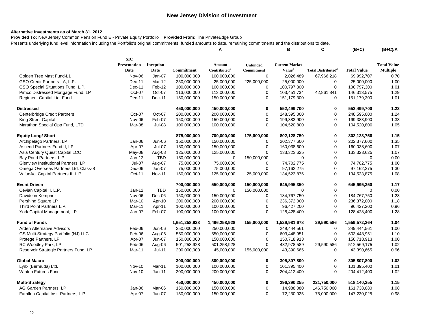### **Alternative Investments as of March 31, 2012**

**Provided To:** New Jersey Common Pension Fund E - Private Equity Portfolio **Provided From:** The PrivateEdge Group Presents underlying fund level information including the Portfolio's original commitments, funded amounts to date, remaining commitments and the distributions to date.

|                                       |                     |               |               | Α                        |                 | в                     | C                                    | $=(B+C)$           | $=(B+C)/A$         |
|---------------------------------------|---------------------|---------------|---------------|--------------------------|-----------------|-----------------------|--------------------------------------|--------------------|--------------------|
|                                       | <b>SIC</b>          |               |               |                          |                 |                       |                                      |                    |                    |
|                                       | <b>Presentation</b> | Inception     |               | Amount                   | <b>Unfunded</b> | <b>Current Market</b> |                                      |                    | <b>Total Value</b> |
|                                       | <b>Date</b>         | Date          | Commitment    | Contributed <sup>1</sup> | Commitment      | Value <sup>3</sup>    | <b>Total Distributed<sup>2</sup></b> | <b>Total Value</b> | <b>Multiple</b>    |
| Golden Tree Mast Fund-L1              | Nov-06              | Jan-07        | 100,000,000   | 100,000,000              | 0               | 2,026,489             | 67,966,218                           | 69,992,707         | 0.70               |
| GSO Credit Partners - A, L.P.         | Dec-11              | Mar-12        | 250,000,000   | 25,000,000               | 225,000,000     | 25,000,000            | 0                                    | 25,000,000         | 1.00               |
| GSO Special Situations Fund, L.P.     | Dec-11              | Feb-12        | 100,000,000   | 100,000,000              | 0               | 100,797,300           | $\mathbf 0$                          | 100,797,300        | 1.01               |
| Pimco Distressed Mortgage Fund, LP    | Oct-07              | Oct-07        | 113,000,000   | 113,000,000              | $\mathbf 0$     | 103,451,734           | 42,861,841                           | 146,313,575        | 1.29               |
| Regiment Capital Ltd. Fund            | Dec-11              | Dec-11        | 150,000,000   | 150,000,000              | $\mathbf 0$     | 151,179,300           | 0                                    | 151,179,300        | 1.01               |
| <b>Distressed</b>                     |                     |               | 450,000,000   | 450,000,000              | 0               | 552,499,700           | $\bf{0}$                             | 552,499,700        | 1.23               |
| Centerbridge Credit Partners          | Oct-07              | Oct-07        | 200,000,000   | 200,000,000              | $\mathbf 0$     | 248,595,000           | $\mathbf 0$                          | 248,595,000        | 1.24               |
| <b>King Street Capital</b>            | Nov-06              | Feb-07        | 150,000,000   | 150,000,000              | $\mathbf 0$     | 199,383,900           | $\mathbf 0$                          | 199,383,900        | 1.33               |
| Marathon Special Opp Fund, LTD        | Mar-08              | Jul-08        | 100,000,000   | 100,000,000              | 0               | 104,520,800           | $\mathbf 0$                          | 104,520,800        | 1.05               |
| <b>Equity Long/ Short</b>             |                     |               | 875,000,000   | 700,000,000              | 175,000,000     | 802,128,750           | $\bf{0}$                             | 802,128,750        | 1.15               |
| Archipelago Partners, LP              | Jan-06              | Jun-06        | 150,000,000   | 150,000,000              | 0               | 202,377,600           | 0                                    | 202,377,600        | 1.35               |
| Ascend Partners Fund II, LP           | Apr-07              | Jul-07        | 150,000,000   | 150,000,000              | 0               | 160,038,600           | $\mathbf 0$                          | 160,038,600        | 1.07               |
| Asia Century Quest Capital LCC        | May-08              | Aug-08        | 125,000,000   | 125,000,000              | $\Omega$        | 133,323,625           | $\mathbf 0$                          | 133,323,625        | 1.07               |
| Bay Pond Partners, L.P.               | Jan-12              | <b>TBD</b>    | 150,000,000   | $\mathbf 0$              | 150,000,000     | $\Omega$              | $\mathbf 0$                          | $\mathbf 0$        | 0.00               |
| Glenview Institutional Partners, LP   | Jul-07              | Aug-07        | 75,000,000    | 75,000,000               | $\mathbf 0$     | 74,702,775            | $\mathbf 0$                          | 74,702,775         | 1.00               |
| Omega Overseas Partners Ltd. Class-B  | Dec-06              | Jan-07        | 75,000,000    | 75,000,000               | $\mathbf 0$     | 97, 162, 275          | $\pmb{0}$                            | 97, 162, 275       | 1.30               |
| ValueAct Capital Partners II, L.P.    | Oct-11              | <b>Nov-11</b> | 150,000,000   | 125,000,000              | 25,000,000      | 134,523,875           | $\mathbf 0$                          | 134,523,875        | 1.08               |
| <b>Event Driven</b>                   |                     |               | 700,000,000   | 550,000,000              | 150,000,000     | 645,995,350           | 0                                    | 645,995,350        | 1.17               |
| Cevian Capital II, L.P.               | Jan-12              | <b>TBD</b>    | 150,000,000   | $\mathbf 0$              | 150,000,000     | 0                     | $\pmb{0}$                            | $\mathbf 0$        | 0.00               |
| Davidson Kempner                      | Nov-06              | Dec-06        | 150,000,000   | 150,000,000              | 0               | 184,767,750           | $\mathbf 0$                          | 184,767,750        | 1.23               |
| Pershing Square LP                    | Mar-10              | Apr-10        | 200,000,000   | 200,000,000              | 0               | 236,372,000           | $\pmb{0}$                            | 236,372,000        | 1.18               |
| Third Point Partners L.P.             | Mar-11              | Apr-11        | 100,000,000   | 100,000,000              | 0               | 96,427,200            | $\mathbf 0$                          | 96,427,200         | 0.96               |
| York Capital Management, LP           | Jan-07              | Feb-07        | 100,000,000   | 100,000,000              | $\Omega$        | 128,428,400           | $\Omega$                             | 128,428,400        | 1.28               |
| <b>Fund of Funds</b>                  |                     |               | 1,651,258,928 | 1,496,258,928            | 155,000,000     | 1,529,981,678         | 29,590,586                           | 1,559,572,264      | 1.04               |
| Arden Alternative Advisors            | Feb-06              | Jun-06        | 250,000,000   | 250,000,000              | 0               | 249,444,561           | 0                                    | 249,444,561        | 1.00               |
| GS Multi-Strategy Portfolio (NJ) LLC  | Feb-06              | Aug-06        | 550,000,000   | 550,000,000              | $\mathbf 0$     | 603,448,951           | $\mathbf 0$                          | 603,448,951        | 1.10               |
| Protege Partners, LP                  | Apr-07              | Jun-07        | 150,000,000   | 150,000,000              | 0               | 150,718,913           | $\mathbf 0$                          | 150,718,913        | 1.00               |
| RC Woodley Park, LP                   | Feb-06              | Aug-06        | 501,258,928   | 501,258,928              | 0               | 482,978,589           | 29,590,586                           | 512,569,175        | 1.02               |
| Reservoir Strategic Partners Fund, LP | Mar-11              | $Jul-11$      | 200,000,000   | 45,000,000               | 155,000,000     | 43,390,665            | $\mathbf 0$                          | 43,390,665         | 0.96               |
| <b>Global Macro</b>                   |                     |               | 300,000,000   | 300,000,000              | 0               | 305,807,800           | 0                                    | 305,807,800        | 1.02               |
| Lynx (Bermuda) Ltd.                   | <b>Nov-10</b>       | Mar-11        | 100,000,000   | 100,000,000              | 0               | 101,395,400           | $\mathbf 0$                          | 101,395,400        | 1.01               |
| <b>Winton Futures Fund</b>            | <b>Nov-10</b>       | Jan-11        | 200,000,000   | 200,000,000              | $\Omega$        | 204,412,400           | $\Omega$                             | 204,412,400        | 1.02               |
| <b>Multi-Strategy</b>                 |                     |               | 450,000,000   | 450,000,000              | 0               | 296,390,255           | 221,750,000                          | 518,140,255        | 1.15               |
| AG Garden Partners, LP                | Jan-06              | Mar-06        | 150,000,000   | 150,000,000              | $\mathbf 0$     | 14,988,080            | 146,750,000                          | 161,738,080        | 1.08               |
| Farallon Capital Inst. Partners, L.P. | Apr-07              | $Jun-07$      | 150,000,000   | 150,000,000              | $\Omega$        | 72,230,025            | 75,000,000                           | 147,230,025        | 0.98               |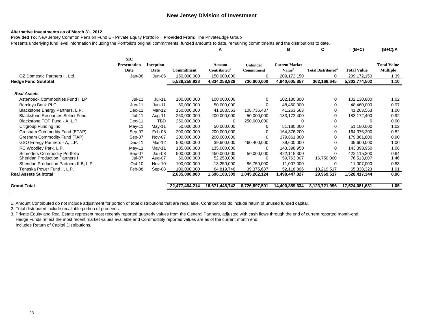#### **Alternative Investments as of March 31, 2012**

**Provided To:** New Jersey Common Pension Fund E - Private Equity Portfolio **Provided From:** The PrivateEdge Group Presents underlying fund level information including the Portfolio's original commitments, funded amounts to date, remaining commitments and the distributions to date.

|                                           |                          |                              | A                     |                               |                                             |                          |                    | $=(B+C)/A$                            |
|-------------------------------------------|--------------------------|------------------------------|-----------------------|-------------------------------|---------------------------------------------|--------------------------|--------------------|---------------------------------------|
| <b>SIC</b><br><b>Presentation</b><br>Date | <b>Inception</b><br>Date | Commitment                   | Amount<br>Contributed | <b>Unfunded</b><br>Commitment | <b>Current Market</b><br>Value <sup>3</sup> | <b>Total Distributed</b> | <b>Total Value</b> | <b>Total Value</b><br><b>Multiple</b> |
|                                           | Jun-06                   | 150,000,000                  | 150,000,000           | $\Omega$                      | 209, 172, 150                               | $\Omega$                 | 209,172,150        | 1.39                                  |
|                                           |                          | 5,539,258,928                | 4,834,258,928         | 730,000,000                   | 4,940,605,857                               | 362,168,645              | 5,302,774,502      | 1.10                                  |
|                                           |                          |                              |                       |                               |                                             |                          |                    |                                       |
| Jul-11                                    | Jul-11                   | 100,000,000                  | 100,000,000           | 0                             | 102,130,800                                 | 0                        | 102,130,800        | 1.02                                  |
| Jun-11                                    | $Jun-11$                 | 50,000,000                   | 50,000,000            | 0                             | 48,460,000                                  | 0                        | 48,460,000         | 0.97                                  |
| Dec-11                                    | Mar-12                   | 150,000,000                  | 41,263,563            | 108,736,437                   | 41,263,563                                  | 0                        | 41,263,563         | 1.00                                  |
| Jul-11                                    | Aug-11                   | 250,000,000                  | 200,000,000           | 50,000,000                    | 183, 172, 400                               | 0                        | 183,172,400        | 0.92                                  |
| Dec-11                                    | TBD                      | 250,000,000                  |                       | 250,000,000                   |                                             | 0                        |                    | 0.00                                  |
| May-11                                    | May-11                   | 50,000,000                   | 50,000,000            | 0                             | 51,180,000                                  | 0                        | 51,180,000         | 1.02                                  |
| Sep-07                                    | Feb-08                   | 200,000,000                  | 200,000,000           | O                             | 164,376,200                                 | 0                        | 164,376,200        | 0.82                                  |
| Sep-07                                    | Nov-07                   | 200,000,000                  | 200,000,000           | $\Omega$                      | 179,861,800                                 | 0                        | 179,861,800        | 0.90                                  |
| Dec-11                                    | Mar-12                   | 500,000,000                  | 39,600,000            | 460,400,000                   | 39,600,000                                  | $\Omega$                 | 39,600,000         | 1.00                                  |
| May-11                                    | May-11                   | 135,000,000                  | 135,000,000           | $\Omega$                      | 143,398,950                                 | $\Omega$                 | 143,398,950        | 1.06                                  |
| Sep-07                                    | Jan-08                   | 500,000,000                  | 450,000,000           | 50,000,000                    | 422,115,300                                 | 0                        | 422,115,300        | 0.94                                  |
| Jul-07                                    | Aug-07                   | 50,000,000                   | 52,250,000            | ∩                             | 59.763.007                                  | 16,750,000               | 76,513,007         | 1.46                                  |
|                                           | <b>Nov-10</b>            | 100,000,000                  | 13,250,000            | 86,750,000                    | 11,007,000                                  | $\Omega$                 | 11,007,000         | 0.83                                  |
|                                           | Sep-08                   | 100,000,000                  | 64,819,746            | 39,375,687                    | 52,118,806                                  | 13,219,517               | 65,338,323         | 1.01                                  |
|                                           |                          | 2,635,000,000                | 1,596,183,309         | 1,045,262,124                 | 1,498,447,827                               | 29,969,517               | 1,528,417,344      | 0.96                                  |
|                                           |                          |                              |                       |                               |                                             |                          |                    | 1.05                                  |
|                                           |                          | Jan-06<br>$Oct-10$<br>Feb-08 | 22,477,464,214        | 16,671,448,742                | 6,726,897,501                               | В<br>14,400,359,634      | C<br>3,123,721,996 | $=(B+C)$<br>17,524,081,631            |

1. Amount Contributed do not include adjustment for portion of total distributions that are recallable. Contributions do include return of unused funded capital.

2. Total distributed include recallable portion of proceeds.

3. Private Equity and Real Estate represent most recently reported quarterly values from the General Partners, adjusted with cash flows through the end of current reported month-end. Hedge Funds reflect the most recent market values available and Commoditity reported values are as of the current month end. Includes Return of Capital Distributions.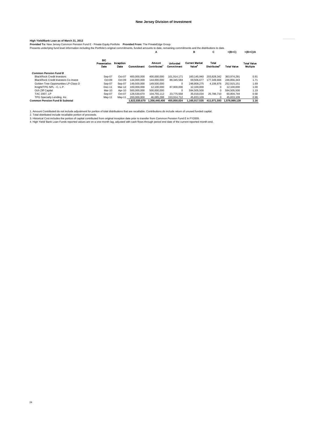Hi**gh Yield/Bank Loan as of March 31, 2012**<br>Provi**ded T**o: New Jersey Common Pension Fund E - Private Equity Portfolio Provid<mark>ed From:</mark> The PrivateEdge Group<br>Presents underlying fund level information including the Portfol

| r resente undergrig rund lever information incruding the Fortrollo songinal communicate, runded amounts to date, remaining communicate and the usurbutions to date. |                                    |                   |                   |                       |                               |                                             |                                          |                    |                                |
|---------------------------------------------------------------------------------------------------------------------------------------------------------------------|------------------------------------|-------------------|-------------------|-----------------------|-------------------------------|---------------------------------------------|------------------------------------------|--------------------|--------------------------------|
|                                                                                                                                                                     |                                    |                   |                   | А                     |                               | в                                           | С                                        | $=(B+C)$           | $=(B+C)/A$                     |
|                                                                                                                                                                     | <b>SIC</b><br>Presentation<br>Date | Inception<br>Date | <b>Commitment</b> | Amount<br>Contributed | <b>Unfunded</b><br>Commitment | <b>Current Market</b><br>Value <sup>3</sup> | <b>Total</b><br>Distributed <sup>2</sup> | <b>Total Value</b> | <b>Total Value</b><br>Multiple |
| <b>Common Pension Fund B</b>                                                                                                                                        |                                    |                   |                   |                       |                               |                                             |                                          |                    |                                |
| <b>BlackRock Credit Investors</b>                                                                                                                                   | Sep-07                             | Oct-07            | 400.000.000       | 400.000.000           | 101.914.171                   | 160.145.940                                 | 203.828.342                              | 363.974.281        | 0.91                           |
| BlackRock Credit Investors Co-Invest                                                                                                                                | $Oct-09$                           | Oct-09            | 144.000.000       | 144.000.000           | 88.345.584                    | 69.506.677                                  | 177.349.666                              | 246.856.343        | 1.71                           |
| Golden Tree Opportunities LP-Class D                                                                                                                                | Sep-07                             | Sep-07            | 149,500,000       | 149,500,000           | $\Omega$                      | 248.808.275                                 | 4.106.876                                | 252.915.151        | 1.69                           |
| Knight/TPG NPL - C. L.P.                                                                                                                                            | Dec-11                             | Mar-12            | 100,000,000       | 12.100.000            | 87,900,000                    | 12,100,000                                  | 0                                        | 12,100,000         | 1.00                           |
| Och Ziff Capital                                                                                                                                                    | Mar-10                             | Apr-10            | 500.000.000       | 500,000,000           | $\Omega$                      | 594.505.500                                 | 0                                        | 594.505.500        | 1.19                           |
| TAC 2007, LP                                                                                                                                                        | Sep-07                             | Oct-07            | 128,530,670       | 104.755.112           | 23.775.558                    | 35.018.034                                  | 25.786.710                               | 60.804.744         | 0.58                           |
| TPG Specialty Lending, Inc.                                                                                                                                         | May-11                             | Mav-11            | 200.000.000       | 46.085.288            | 153.914.712                   | 45.833.109                                  | 0                                        | 45.833.109         | 0.99                           |
| <b>Common Pension Fund B Subtotal</b>                                                                                                                               |                                    |                   | 1.622.030.670     | 1.356.440.400         | 455.850.024                   | 1.165.917.535                               | 411.071.593                              | 1.576.989.128      | 1.16                           |

1. Amount Contributed do not include adjustment for portion of total distributions that are recallable. Contributions do include return of unused funded capital.<br>2. Total distributed include recallable portion of proceeds.